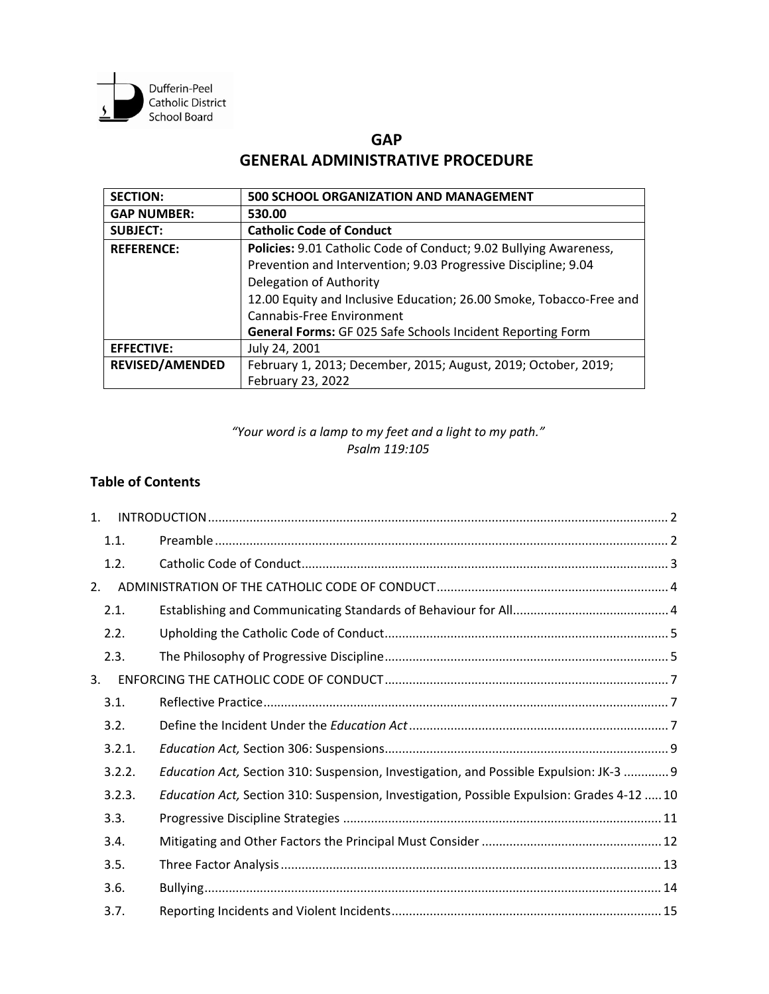

# **GAP GENERAL ADMINISTRATIVE PROCEDURE**

| <b>SECTION:</b>                                                                        | <b>500 SCHOOL ORGANIZATION AND MANAGEMENT</b>                       |  |
|----------------------------------------------------------------------------------------|---------------------------------------------------------------------|--|
| <b>GAP NUMBER:</b>                                                                     | 530.00                                                              |  |
| <b>SUBJECT:</b>                                                                        | <b>Catholic Code of Conduct</b>                                     |  |
| Policies: 9.01 Catholic Code of Conduct; 9.02 Bullying Awareness,<br><b>REFERENCE:</b> |                                                                     |  |
|                                                                                        | Prevention and Intervention; 9.03 Progressive Discipline; 9.04      |  |
|                                                                                        | Delegation of Authority                                             |  |
|                                                                                        | 12.00 Equity and Inclusive Education; 26.00 Smoke, Tobacco-Free and |  |
|                                                                                        | Cannabis-Free Environment                                           |  |
|                                                                                        | General Forms: GF 025 Safe Schools Incident Reporting Form          |  |
| <b>EFFECTIVE:</b>                                                                      | July 24, 2001                                                       |  |
| <b>REVISED/AMENDED</b>                                                                 | February 1, 2013; December, 2015; August, 2019; October, 2019;      |  |
|                                                                                        | February 23, 2022                                                   |  |

## *"Your word is a lamp to my feet and a light to my path." Psalm 119:105*

## **Table of Contents**

| 1 <sub>1</sub> |        |                                                                                            |
|----------------|--------|--------------------------------------------------------------------------------------------|
|                | 1.1.   |                                                                                            |
|                | 1.2.   |                                                                                            |
| 2.             |        |                                                                                            |
|                | 2.1.   |                                                                                            |
|                | 2.2.   |                                                                                            |
|                | 2.3.   |                                                                                            |
| 3.             |        |                                                                                            |
|                | 3.1.   |                                                                                            |
|                | 3.2.   |                                                                                            |
|                | 3.2.1. |                                                                                            |
|                | 3.2.2. | Education Act, Section 310: Suspension, Investigation, and Possible Expulsion: JK-3  9     |
|                | 3.2.3. | Education Act, Section 310: Suspension, Investigation, Possible Expulsion: Grades 4-12  10 |
|                | 3.3.   |                                                                                            |
|                | 3.4.   |                                                                                            |
|                | 3.5.   |                                                                                            |
|                | 3.6.   |                                                                                            |
|                | 3.7.   |                                                                                            |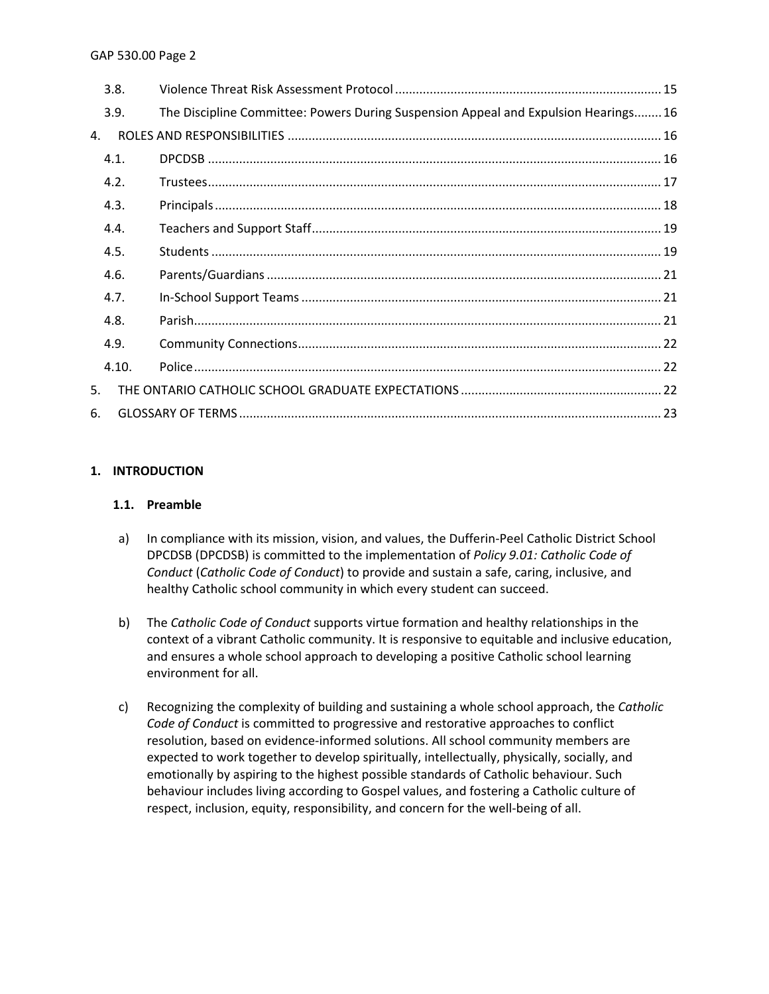|    | 3.8.  |                                                                                     |  |
|----|-------|-------------------------------------------------------------------------------------|--|
|    | 3.9.  | The Discipline Committee: Powers During Suspension Appeal and Expulsion Hearings 16 |  |
| 4. |       |                                                                                     |  |
|    | 4.1.  |                                                                                     |  |
|    | 4.2.  |                                                                                     |  |
|    | 4.3.  |                                                                                     |  |
|    | 4.4.  |                                                                                     |  |
|    | 4.5.  |                                                                                     |  |
|    | 4.6.  |                                                                                     |  |
|    | 4.7.  |                                                                                     |  |
|    | 4.8.  |                                                                                     |  |
|    | 4.9.  |                                                                                     |  |
|    | 4.10. |                                                                                     |  |
| 5. |       |                                                                                     |  |
| 6. |       |                                                                                     |  |

## <span id="page-1-0"></span>**1. INTRODUCTION**

## <span id="page-1-1"></span>**1.1. Preamble**

- a) In compliance with its mission, vision, and values, the Dufferin-Peel Catholic District School DPCDSB (DPCDSB) is committed to the implementation of *Policy 9.01: Catholic Code of Conduct* (*Catholic Code of Conduct*) to provide and sustain a safe, caring, inclusive, and healthy Catholic school community in which every student can succeed.
- b) The *Catholic Code of Conduct* supports virtue formation and healthy relationships in the context of a vibrant Catholic community. It is responsive to equitable and inclusive education, and ensures a whole school approach to developing a positive Catholic school learning environment for all.
- c) Recognizing the complexity of building and sustaining a whole school approach, the *Catholic Code of Conduct* is committed to progressive and restorative approaches to conflict resolution, based on evidence-informed solutions. All school community members are expected to work together to develop spiritually, intellectually, physically, socially, and emotionally by aspiring to the highest possible standards of Catholic behaviour. Such behaviour includes living according to Gospel values, and fostering a Catholic culture of respect, inclusion, equity, responsibility, and concern for the well-being of all.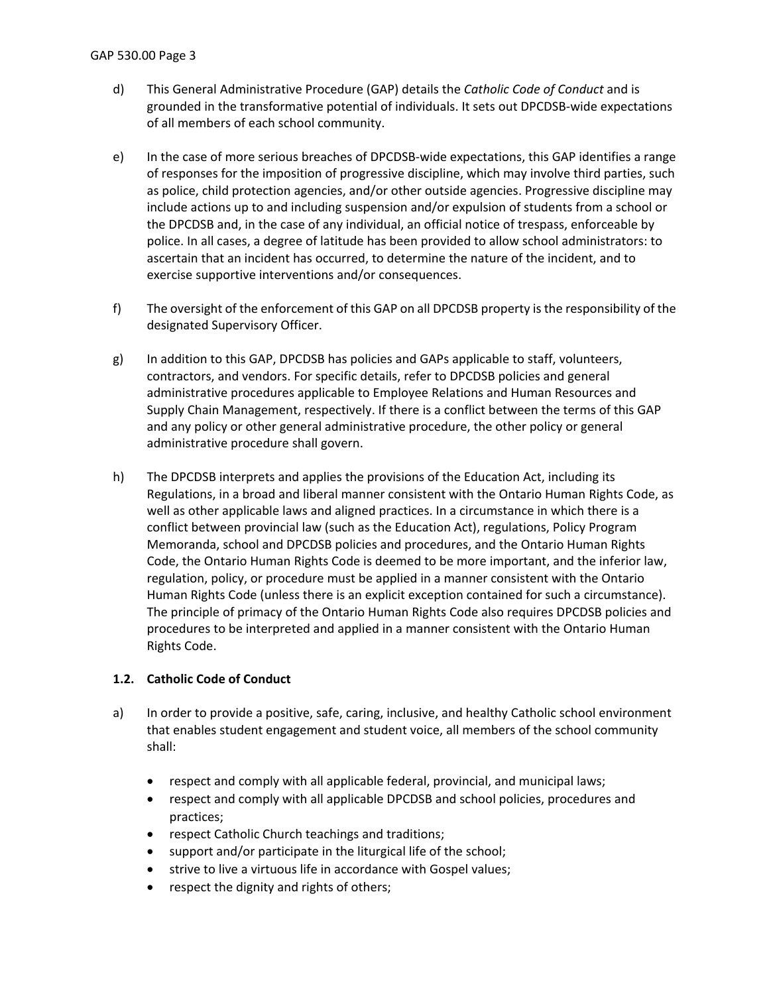- d) This General Administrative Procedure (GAP) details the *Catholic Code of Conduct* and is grounded in the transformative potential of individuals. It sets out DPCDSB-wide expectations of all members of each school community.
- e) In the case of more serious breaches of DPCDSB-wide expectations, this GAP identifies a range of responses for the imposition of progressive discipline, which may involve third parties, such as police, child protection agencies, and/or other outside agencies. Progressive discipline may include actions up to and including suspension and/or expulsion of students from a school or the DPCDSB and, in the case of any individual, an official notice of trespass, enforceable by police. In all cases, a degree of latitude has been provided to allow school administrators: to ascertain that an incident has occurred, to determine the nature of the incident, and to exercise supportive interventions and/or consequences.
- f) The oversight of the enforcement of this GAP on all DPCDSB property is the responsibility of the designated Supervisory Officer.
- g) In addition to this GAP, DPCDSB has policies and GAPs applicable to staff, volunteers, contractors, and vendors. For specific details, refer to DPCDSB policies and general administrative procedures applicable to Employee Relations and Human Resources and Supply Chain Management, respectively. If there is a conflict between the terms of this GAP and any policy or other general administrative procedure, the other policy or general administrative procedure shall govern.
- h) The DPCDSB interprets and applies the provisions of the Education Act, including its Regulations, in a broad and liberal manner consistent with the Ontario Human Rights Code, as well as other applicable laws and aligned practices. In a circumstance in which there is a conflict between provincial law (such as the Education Act), regulations, Policy Program Memoranda, school and DPCDSB policies and procedures, and the Ontario Human Rights Code, the Ontario Human Rights Code is deemed to be more important, and the inferior law, regulation, policy, or procedure must be applied in a manner consistent with the Ontario Human Rights Code (unless there is an explicit exception contained for such a circumstance). The principle of primacy of the Ontario Human Rights Code also requires DPCDSB policies and procedures to be interpreted and applied in a manner consistent with the Ontario Human Rights Code.

## <span id="page-2-0"></span>**1.2. Catholic Code of Conduct**

- a) In order to provide a positive, safe, caring, inclusive, and healthy Catholic school environment that enables student engagement and student voice, all members of the school community shall:
	- respect and comply with all applicable federal, provincial, and municipal laws;
	- respect and comply with all applicable DPCDSB and school policies, procedures and practices;
	- respect Catholic Church teachings and traditions;
	- support and/or participate in the liturgical life of the school;
	- strive to live a virtuous life in accordance with Gospel values;
	- respect the dignity and rights of others;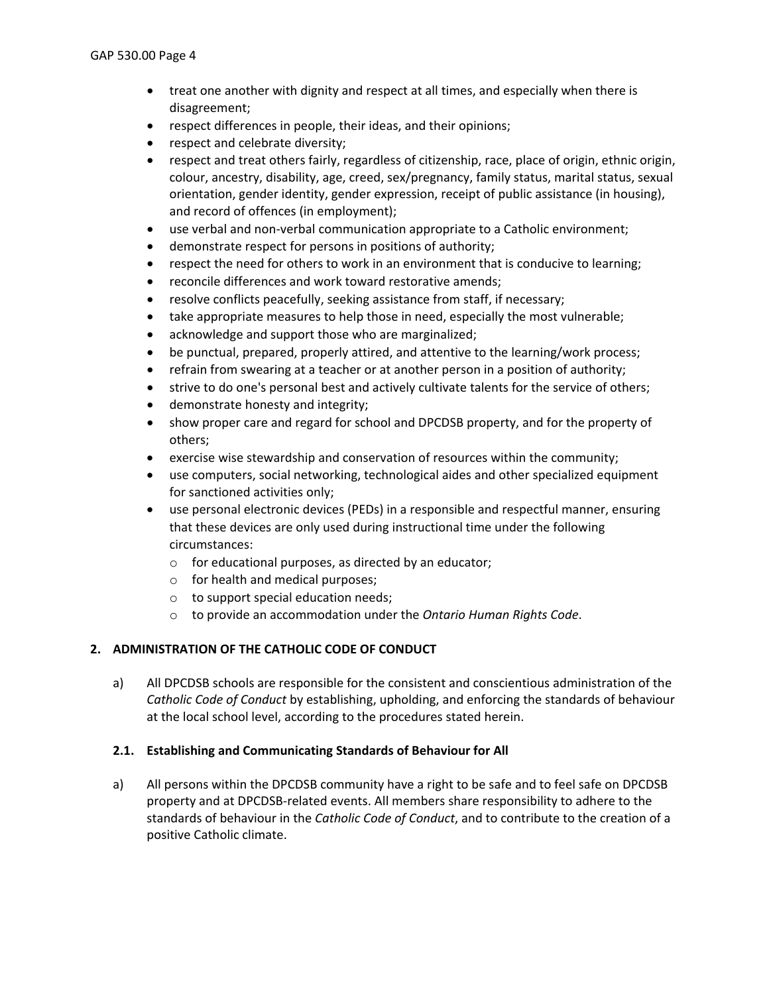- treat one another with dignity and respect at all times, and especially when there is disagreement;
- respect differences in people, their ideas, and their opinions;
- respect and celebrate diversity;
- respect and treat others fairly, regardless of citizenship, race, place of origin, ethnic origin, colour, ancestry, disability, age, creed, sex/pregnancy, family status, marital status, sexual orientation, gender identity, gender expression, receipt of public assistance (in housing), and record of offences (in employment);
- use verbal and non-verbal communication appropriate to a Catholic environment;
- demonstrate respect for persons in positions of authority;
- respect the need for others to work in an environment that is conducive to learning;
- reconcile differences and work toward restorative amends;
- resolve conflicts peacefully, seeking assistance from staff, if necessary;
- take appropriate measures to help those in need, especially the most vulnerable;
- acknowledge and support those who are marginalized;
- be punctual, prepared, properly attired, and attentive to the learning/work process;
- refrain from swearing at a teacher or at another person in a position of authority;
- strive to do one's personal best and actively cultivate talents for the service of others;
- demonstrate honesty and integrity;
- show proper care and regard for school and DPCDSB property, and for the property of others;
- exercise wise stewardship and conservation of resources within the community;
- use computers, social networking, technological aides and other specialized equipment for sanctioned activities only;
- use personal electronic devices (PEDs) in a responsible and respectful manner, ensuring that these devices are only used during instructional time under the following circumstances:
	- o for educational purposes, as directed by an educator;
	- o for health and medical purposes;
	- o to support special education needs;
	- o to provide an accommodation under the *Ontario Human Rights Code*.

### <span id="page-3-0"></span>**2. ADMINISTRATION OF THE CATHOLIC CODE OF CONDUCT**

a) All DPCDSB schools are responsible for the consistent and conscientious administration of the *Catholic Code of Conduct* by establishing, upholding, and enforcing the standards of behaviour at the local school level, according to the procedures stated herein.

### <span id="page-3-1"></span>**2.1. Establishing and Communicating Standards of Behaviour for All**

a) All persons within the DPCDSB community have a right to be safe and to feel safe on DPCDSB property and at DPCDSB-related events. All members share responsibility to adhere to the standards of behaviour in the *Catholic Code of Conduct*, and to contribute to the creation of a positive Catholic climate.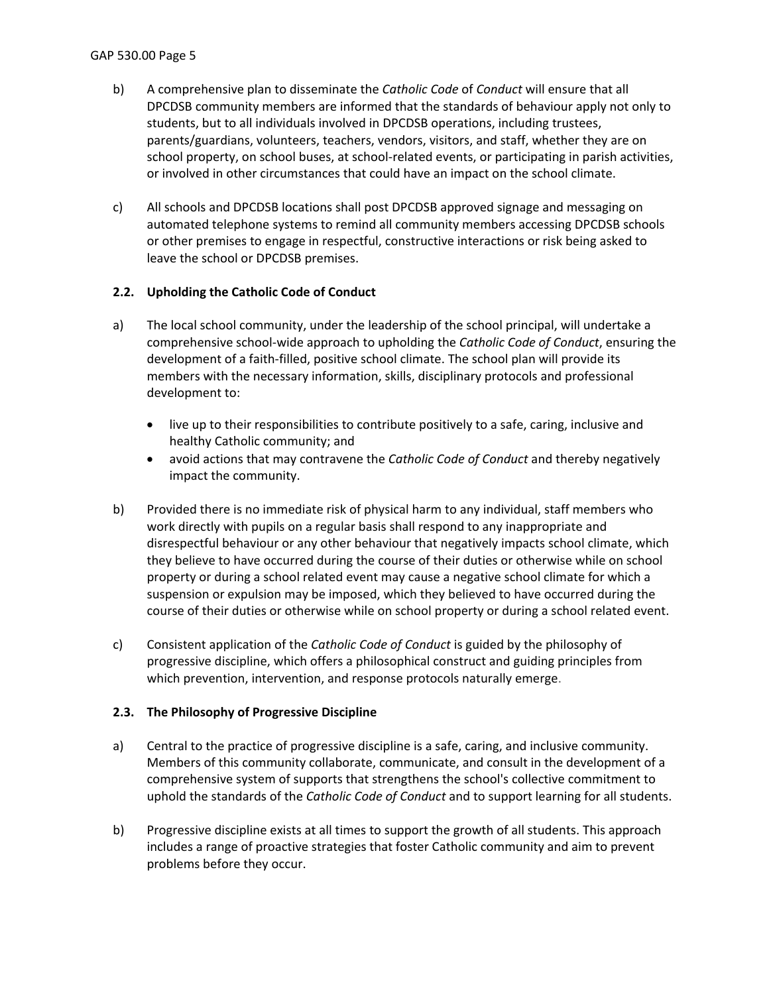- b) A comprehensive plan to disseminate the *Catholic Code* of *Conduct* will ensure that all DPCDSB community members are informed that the standards of behaviour apply not only to students, but to all individuals involved in DPCDSB operations, including trustees, parents/guardians, volunteers, teachers, vendors, visitors, and staff, whether they are on school property, on school buses, at school-related events, or participating in parish activities, or involved in other circumstances that could have an impact on the school climate.
- c) All schools and DPCDSB locations shall post DPCDSB approved signage and messaging on automated telephone systems to remind all community members accessing DPCDSB schools or other premises to engage in respectful, constructive interactions or risk being asked to leave the school or DPCDSB premises.

## <span id="page-4-0"></span>**2.2. Upholding the Catholic Code of Conduct**

- a) The local school community, under the leadership of the school principal, will undertake a comprehensive school-wide approach to upholding the *Catholic Code of Conduct*, ensuring the development of a faith-filled, positive school climate. The school plan will provide its members with the necessary information, skills, disciplinary protocols and professional development to:
	- live up to their responsibilities to contribute positively to a safe, caring, inclusive and healthy Catholic community; and
	- avoid actions that may contravene the *Catholic Code of Conduct* and thereby negatively impact the community.
- b) Provided there is no immediate risk of physical harm to any individual, staff members who work directly with pupils on a regular basis shall respond to any inappropriate and disrespectful behaviour or any other behaviour that negatively impacts school climate, which they believe to have occurred during the course of their duties or otherwise while on school property or during a school related event may cause a negative school climate for which a suspension or expulsion may be imposed, which they believed to have occurred during the course of their duties or otherwise while on school property or during a school related event.
- c) Consistent application of the *Catholic Code of Conduct* is guided by the philosophy of progressive discipline, which offers a philosophical construct and guiding principles from which prevention, intervention, and response protocols naturally emerge.

### <span id="page-4-1"></span>**2.3. The Philosophy of Progressive Discipline**

- a) Central to the practice of progressive discipline is a safe, caring, and inclusive community. Members of this community collaborate, communicate, and consult in the development of a comprehensive system of supports that strengthens the school's collective commitment to uphold the standards of the *Catholic Code of Conduct* and to support learning for all students.
- b) Progressive discipline exists at all times to support the growth of all students. This approach includes a range of proactive strategies that foster Catholic community and aim to prevent problems before they occur.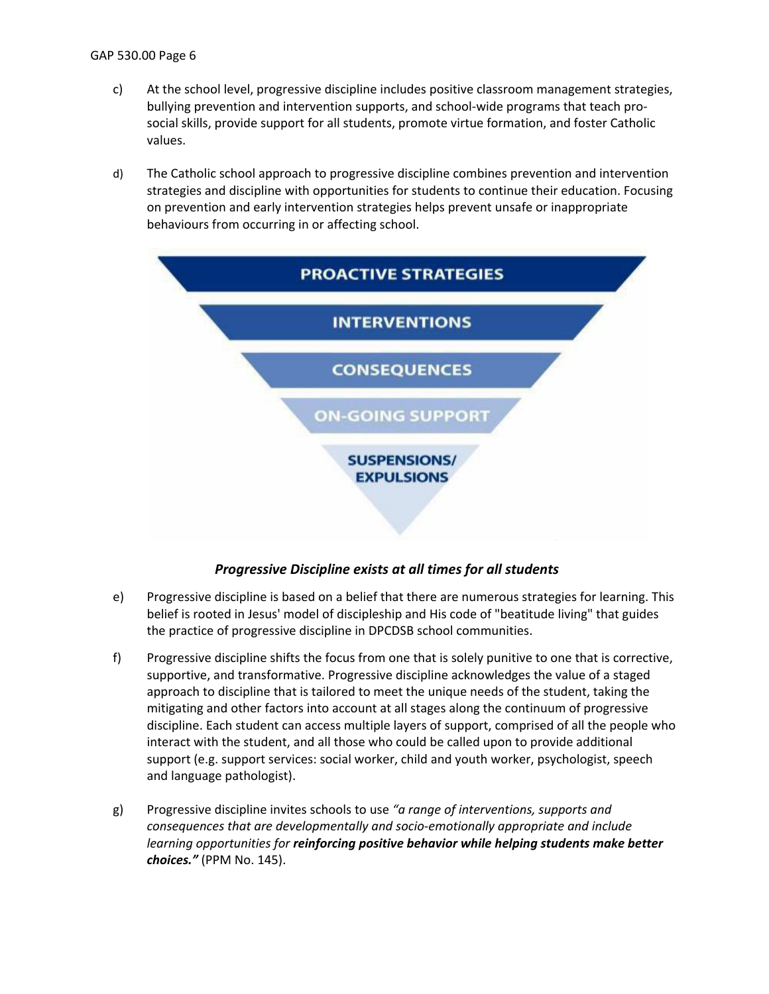- c) At the school level, progressive discipline includes positive classroom management strategies, bullying prevention and intervention supports, and school-wide programs that teach prosocial skills, provide support for all students, promote virtue formation, and foster Catholic values.
- d) The Catholic school approach to progressive discipline combines prevention and intervention strategies and discipline with opportunities for students to continue their education. Focusing on prevention and early intervention strategies helps prevent unsafe or inappropriate behaviours from occurring in or affecting school.



## *Progressive Discipline exists at all times for all students*

- e) Progressive discipline is based on a belief that there are numerous strategies for learning. This belief is rooted in Jesus' model of discipleship and His code of "beatitude living" that guides the practice of progressive discipline in DPCDSB school communities.
- f) Progressive discipline shifts the focus from one that is solely punitive to one that is corrective, supportive, and transformative. Progressive discipline acknowledges the value of a staged approach to discipline that is tailored to meet the unique needs of the student, taking the mitigating and other factors into account at all stages along the continuum of progressive discipline. Each student can access multiple layers of support, comprised of all the people who interact with the student, and all those who could be called upon to provide additional support (e.g. support services: social worker, child and youth worker, psychologist, speech and language pathologist).
- g) Progressive discipline invites schools to use *"a range of interventions, supports and consequences that are developmentally and socio-emotionally appropriate and include learning opportunities for reinforcing positive behavior while helping students make better choices."* (PPM No. 145).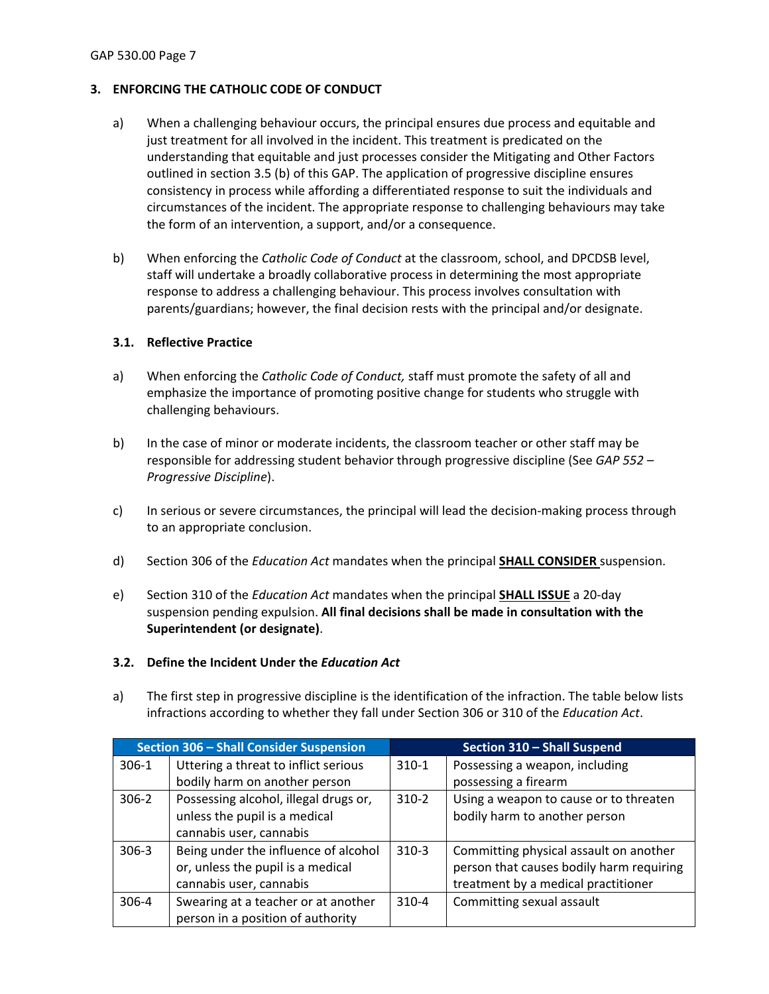## <span id="page-6-0"></span>**3. ENFORCING THE CATHOLIC CODE OF CONDUCT**

- a) When a challenging behaviour occurs, the principal ensures due process and equitable and just treatment for all involved in the incident. This treatment is predicated on the understanding that equitable and just processes consider the Mitigating and Other Factors outlined in section 3.5 (b) of this GAP. The application of progressive discipline ensures consistency in process while affording a differentiated response to suit the individuals and circumstances of the incident. The appropriate response to challenging behaviours may take the form of an intervention, a support, and/or a consequence.
- b) When enforcing the *Catholic Code of Conduct* at the classroom, school, and DPCDSB level, staff will undertake a broadly collaborative process in determining the most appropriate response to address a challenging behaviour. This process involves consultation with parents/guardians; however, the final decision rests with the principal and/or designate.

### <span id="page-6-1"></span>**3.1. Reflective Practice**

- a) When enforcing the *Catholic Code of Conduct,* staff must promote the safety of all and emphasize the importance of promoting positive change for students who struggle with challenging behaviours.
- b) In the case of minor or moderate incidents, the classroom teacher or other staff may be responsible for addressing student behavior through progressive discipline (See *GAP 552 – Progressive Discipline*).
- c) In serious or severe circumstances, the principal will lead the decision-making process through to an appropriate conclusion.
- d) Section 306 of the *Education Act* mandates when the principal **SHALL CONSIDER** suspension.
- e) Section 310 of the *Education Act* mandates when the principal **SHALL ISSUE** a 20-day suspension pending expulsion. **All final decisions shall be made in consultation with the Superintendent (or designate)**.

### <span id="page-6-2"></span>**3.2. Define the Incident Under the** *Education Act*

a) The first step in progressive discipline is the identification of the infraction. The table below lists infractions according to whether they fall under Section 306 or 310 of the *Education Act*.

| <b>Section 306 - Shall Consider Suspension</b>     |                                      | Section 310 - Shall Suspend |                                          |
|----------------------------------------------------|--------------------------------------|-----------------------------|------------------------------------------|
| $306-1$                                            | Uttering a threat to inflict serious | $310-1$                     | Possessing a weapon, including           |
|                                                    | bodily harm on another person        |                             | possessing a firearm                     |
| Possessing alcohol, illegal drugs or,<br>$306 - 2$ |                                      | $310-2$                     | Using a weapon to cause or to threaten   |
|                                                    | unless the pupil is a medical        |                             | bodily harm to another person            |
|                                                    | cannabis user, cannabis              |                             |                                          |
| $306 - 3$                                          | Being under the influence of alcohol | $310-3$                     | Committing physical assault on another   |
|                                                    | or, unless the pupil is a medical    |                             | person that causes bodily harm requiring |
|                                                    | cannabis user, cannabis              |                             | treatment by a medical practitioner      |
| $306 - 4$                                          | Swearing at a teacher or at another  | $310 - 4$                   | Committing sexual assault                |
|                                                    | person in a position of authority    |                             |                                          |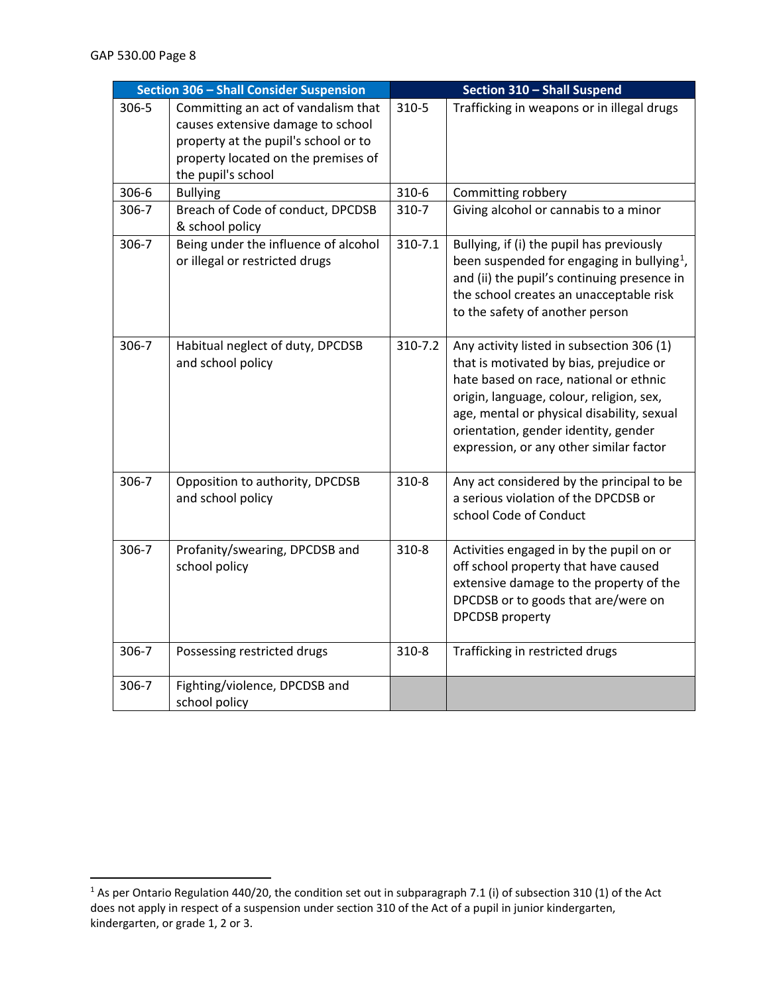| Section 306 - Shall Consider Suspension |                                                                                                                                                                               | <b>Section 310 - Shall Suspend</b> |                                                                                                                                                                                                                                                                                                             |
|-----------------------------------------|-------------------------------------------------------------------------------------------------------------------------------------------------------------------------------|------------------------------------|-------------------------------------------------------------------------------------------------------------------------------------------------------------------------------------------------------------------------------------------------------------------------------------------------------------|
| 306-5                                   | Committing an act of vandalism that<br>causes extensive damage to school<br>property at the pupil's school or to<br>property located on the premises of<br>the pupil's school | 310-5                              | Trafficking in weapons or in illegal drugs                                                                                                                                                                                                                                                                  |
| 306-6                                   | <b>Bullying</b>                                                                                                                                                               | 310-6                              | Committing robbery                                                                                                                                                                                                                                                                                          |
| 306-7                                   | Breach of Code of conduct, DPCDSB<br>& school policy                                                                                                                          | $310-7$                            | Giving alcohol or cannabis to a minor                                                                                                                                                                                                                                                                       |
| 306-7                                   | Being under the influence of alcohol<br>or illegal or restricted drugs                                                                                                        | 310-7.1                            | Bullying, if (i) the pupil has previously<br>been suspended for engaging in bullying <sup>1</sup> ,<br>and (ii) the pupil's continuing presence in<br>the school creates an unacceptable risk<br>to the safety of another person                                                                            |
| $306 - 7$                               | Habitual neglect of duty, DPCDSB<br>and school policy                                                                                                                         | 310-7.2                            | Any activity listed in subsection 306 (1)<br>that is motivated by bias, prejudice or<br>hate based on race, national or ethnic<br>origin, language, colour, religion, sex,<br>age, mental or physical disability, sexual<br>orientation, gender identity, gender<br>expression, or any other similar factor |
| 306-7                                   | Opposition to authority, DPCDSB<br>and school policy                                                                                                                          | $310-8$                            | Any act considered by the principal to be<br>a serious violation of the DPCDSB or<br>school Code of Conduct                                                                                                                                                                                                 |
| 306-7                                   | Profanity/swearing, DPCDSB and<br>school policy                                                                                                                               | $310-8$                            | Activities engaged in by the pupil on or<br>off school property that have caused<br>extensive damage to the property of the<br>DPCDSB or to goods that are/were on<br><b>DPCDSB</b> property                                                                                                                |
| 306-7                                   | Possessing restricted drugs                                                                                                                                                   | 310-8                              | Trafficking in restricted drugs                                                                                                                                                                                                                                                                             |
| 306-7                                   | Fighting/violence, DPCDSB and<br>school policy                                                                                                                                |                                    |                                                                                                                                                                                                                                                                                                             |

<span id="page-7-0"></span><sup>&</sup>lt;sup>1</sup> As per Ontario Regulation 440/20, the condition set out in subparagraph 7.1 (i) of subsection 310 (1) of the Act does not apply in respect of a suspension under section 310 of the Act of a pupil in junior kindergarten, kindergarten, or grade 1, 2 or 3.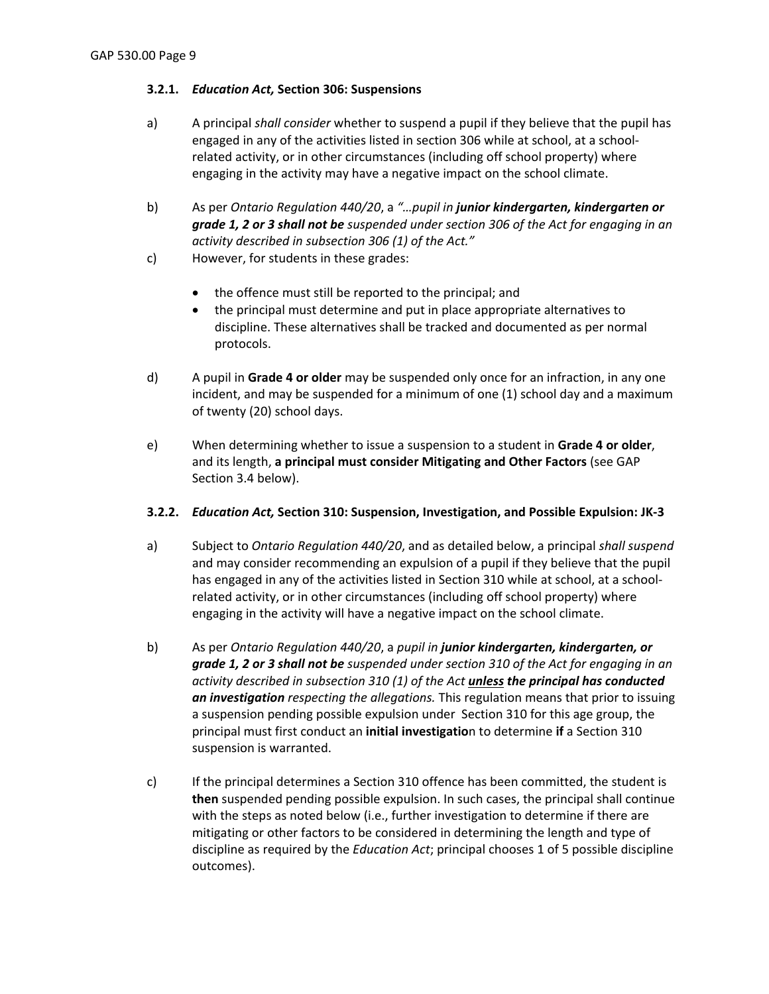## <span id="page-8-0"></span>**3.2.1.** *Education Act,* **Section 306: Suspensions**

- a) A principal *shall consider* whether to suspend a pupil if they believe that the pupil has engaged in any of the activities listed in section 306 while at school, at a schoolrelated activity, or in other circumstances (including off school property) where engaging in the activity may have a negative impact on the school climate.
- b) As per *Ontario Regulation 440/20*, a *"…pupil in junior kindergarten, kindergarten or grade 1, 2 or 3 shall not be suspended under section 306 of the Act for engaging in an activity described in subsection 306 (1) of the Act."*
- c) However, for students in these grades:
	- the offence must still be reported to the principal; and
	- the principal must determine and put in place appropriate alternatives to discipline. These alternatives shall be tracked and documented as per normal protocols.
- d) A pupil in **Grade 4 or older** may be suspended only once for an infraction, in any one incident, and may be suspended for a minimum of one (1) school day and a maximum of twenty (20) school days.
- e) When determining whether to issue a suspension to a student in **Grade 4 or older**, and its length, **a principal must consider Mitigating and Other Factors** (see GAP Section 3.4 below).

### <span id="page-8-1"></span>**3.2.2.** *Education Act,* **Section 310: Suspension, Investigation, and Possible Expulsion: JK-3**

- a) Subject to *Ontario Regulation 440/20*, and as detailed below, a principal *shall suspend* and may consider recommending an expulsion of a pupil if they believe that the pupil has engaged in any of the activities listed in Section 310 while at school, at a schoolrelated activity, or in other circumstances (including off school property) where engaging in the activity will have a negative impact on the school climate.
- b) As per *Ontario Regulation 440/20*, a *pupil in junior kindergarten, kindergarten, or grade 1, 2 or 3 shall not be suspended under section 310 of the Act for engaging in an activity described in subsection 310 (1) of the Act unless the principal has conducted an investigation respecting the allegations.* This regulation means that prior to issuing a suspension pending possible expulsion under Section 310 for this age group, the principal must first conduct an **initial investigatio**n to determine **if** a Section 310 suspension is warranted.
- c) If the principal determines a Section 310 offence has been committed, the student is **then** suspended pending possible expulsion. In such cases, the principal shall continue with the steps as noted below (i.e., further investigation to determine if there are mitigating or other factors to be considered in determining the length and type of discipline as required by the *Education Act*; principal chooses 1 of 5 possible discipline outcomes).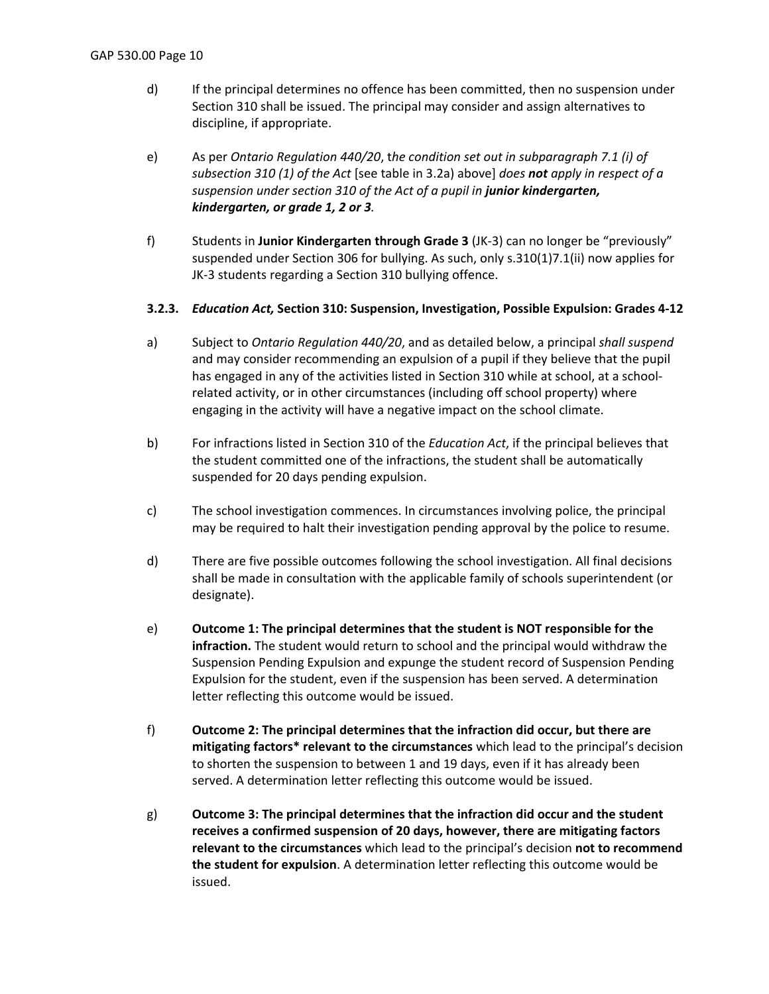- d) If the principal determines no offence has been committed, then no suspension under Section 310 shall be issued. The principal may consider and assign alternatives to discipline, if appropriate.
- e) As per *Ontario Regulation 440/20*, t*he condition set out in subparagraph 7.1 (i) of subsection 310 (1) of the Act* [see table in 3.2a) above] *does not apply in respect of a suspension under section 310 of the Act of a pupil in junior kindergarten, kindergarten, or grade 1, 2 or 3.*
- f) Students in **Junior Kindergarten through Grade 3** (JK-3) can no longer be "previously" suspended under Section 306 for bullying. As such, only s.310(1)7.1(ii) now applies for JK-3 students regarding a Section 310 bullying offence.

### <span id="page-9-0"></span>**3.2.3.** *Education Act,* **Section 310: Suspension, Investigation, Possible Expulsion: Grades 4-12**

- a) Subject to *Ontario Regulation 440/20*, and as detailed below, a principal *shall suspend* and may consider recommending an expulsion of a pupil if they believe that the pupil has engaged in any of the activities listed in Section 310 while at school, at a schoolrelated activity, or in other circumstances (including off school property) where engaging in the activity will have a negative impact on the school climate.
- b) For infractions listed in Section 310 of the *Education Act*, if the principal believes that the student committed one of the infractions, the student shall be automatically suspended for 20 days pending expulsion.
- c) The school investigation commences. In circumstances involving police, the principal may be required to halt their investigation pending approval by the police to resume.
- d) There are five possible outcomes following the school investigation. All final decisions shall be made in consultation with the applicable family of schools superintendent (or designate).
- e) **Outcome 1: The principal determines that the student is NOT responsible for the infraction.** The student would return to school and the principal would withdraw the Suspension Pending Expulsion and expunge the student record of Suspension Pending Expulsion for the student, even if the suspension has been served. A determination letter reflecting this outcome would be issued.
- f) **Outcome 2: The principal determines that the infraction did occur, but there are mitigating factors\* relevant to the circumstances** which lead to the principal's decision to shorten the suspension to between 1 and 19 days, even if it has already been served. A determination letter reflecting this outcome would be issued.
- g) **Outcome 3: The principal determines that the infraction did occur and the student receives a confirmed suspension of 20 days, however, there are mitigating factors relevant to the circumstances** which lead to the principal's decision **not to recommend the student for expulsion**. A determination letter reflecting this outcome would be issued.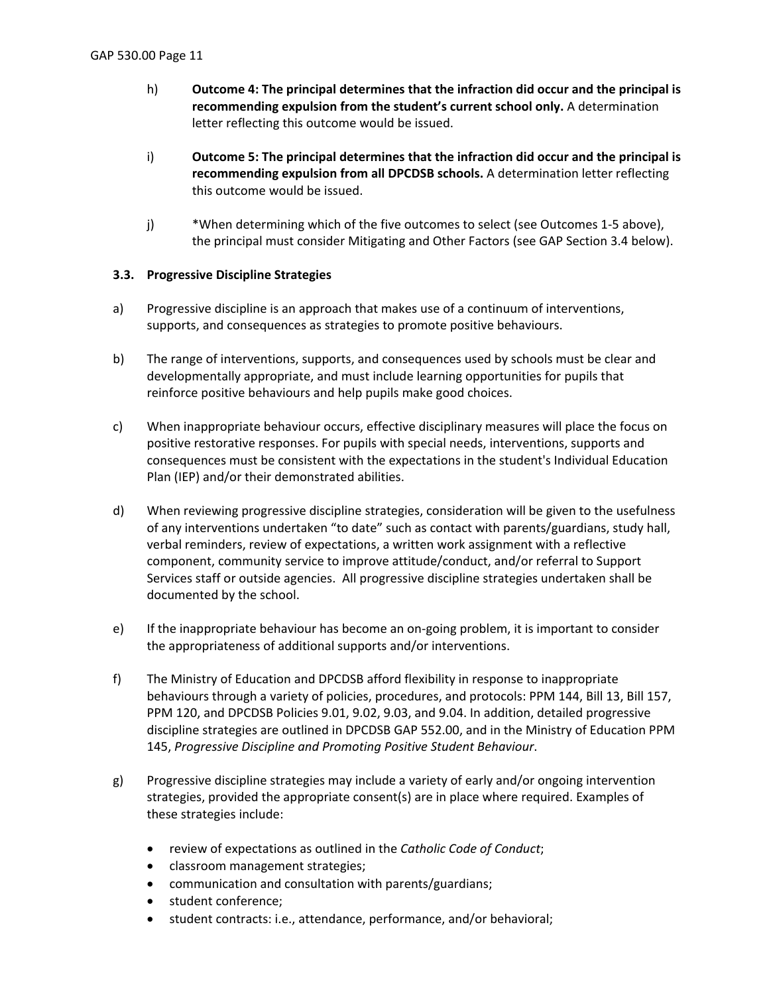- h) **Outcome 4: The principal determines that the infraction did occur and the principal is recommending expulsion from the student's current school only.** A determination letter reflecting this outcome would be issued.
- i) **Outcome 5: The principal determines that the infraction did occur and the principal is recommending expulsion from all DPCDSB schools.** A determination letter reflecting this outcome would be issued.
- j) \*When determining which of the five outcomes to select (see Outcomes 1-5 above), the principal must consider Mitigating and Other Factors (see GAP Section 3.4 below).

## <span id="page-10-0"></span>**3.3. Progressive Discipline Strategies**

- a) Progressive discipline is an approach that makes use of a continuum of interventions, supports, and consequences as strategies to promote positive behaviours.
- b) The range of interventions, supports, and consequences used by schools must be clear and developmentally appropriate, and must include learning opportunities for pupils that reinforce positive behaviours and help pupils make good choices.
- c) When inappropriate behaviour occurs, effective disciplinary measures will place the focus on positive restorative responses. For pupils with special needs, interventions, supports and consequences must be consistent with the expectations in the student's Individual Education Plan (IEP) and/or their demonstrated abilities.
- d) When reviewing progressive discipline strategies, consideration will be given to the usefulness of any interventions undertaken "to date" such as contact with parents/guardians, study hall, verbal reminders, review of expectations, a written work assignment with a reflective component, community service to improve attitude/conduct, and/or referral to Support Services staff or outside agencies. All progressive discipline strategies undertaken shall be documented by the school.
- e) If the inappropriate behaviour has become an on-going problem, it is important to consider the appropriateness of additional supports and/or interventions.
- f) The Ministry of Education and DPCDSB afford flexibility in response to inappropriate behaviours through a variety of policies, procedures, and protocols: PPM 144, Bill 13, Bill 157, PPM 120, and DPCDSB Policies 9.01, 9.02, 9.03, and 9.04. In addition, detailed progressive discipline strategies are outlined in DPCDSB GAP 552.00, and in the Ministry of Education PPM 145, *Progressive Discipline and Promoting Positive Student Behaviour*.
- g) Progressive discipline strategies may include a variety of early and/or ongoing intervention strategies, provided the appropriate consent(s) are in place where required. Examples of these strategies include:
	- review of expectations as outlined in the *Catholic Code of Conduct*;
	- classroom management strategies;
	- communication and consultation with parents/guardians;
	- student conference;
	- student contracts: i.e., attendance, performance, and/or behavioral;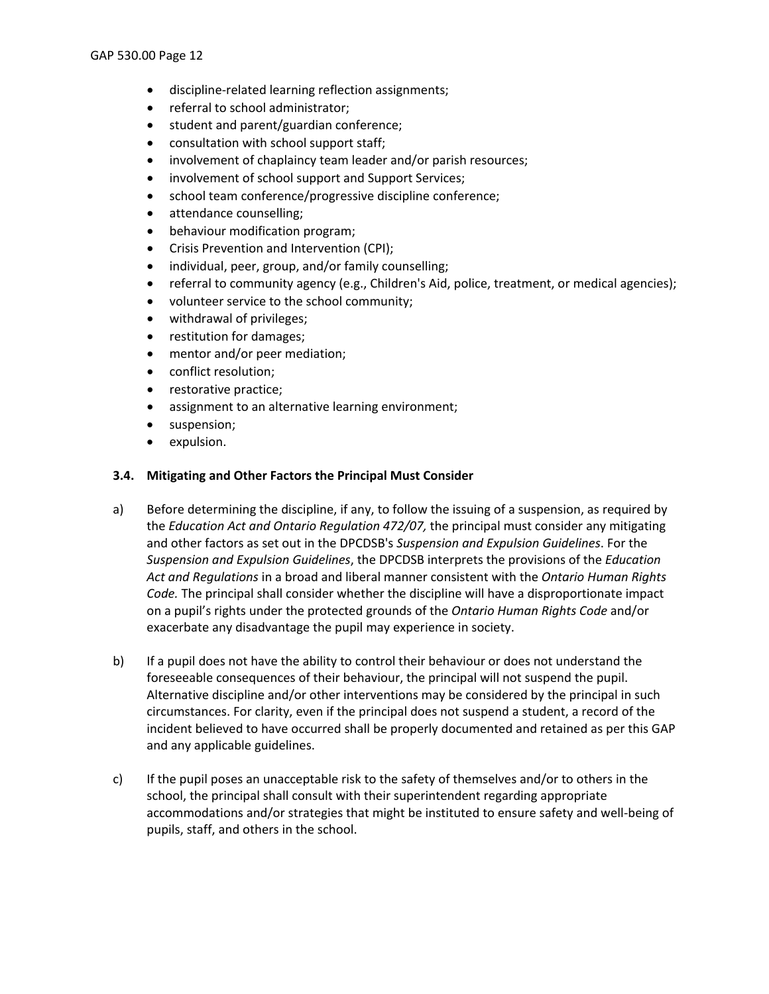- discipline-related learning reflection assignments;
- referral to school administrator;
- student and parent/guardian conference;
- consultation with school support staff;
- involvement of chaplaincy team leader and/or parish resources;
- involvement of school support and Support Services;
- school team conference/progressive discipline conference;
- attendance counselling;
- behaviour modification program;
- Crisis Prevention and Intervention (CPI);
- individual, peer, group, and/or family counselling;
- referral to community agency (e.g., Children's Aid, police, treatment, or medical agencies);
- volunteer service to the school community;
- withdrawal of privileges;
- restitution for damages;
- mentor and/or peer mediation;
- conflict resolution;
- restorative practice;
- assignment to an alternative learning environment;
- suspension;
- expulsion.

#### <span id="page-11-0"></span>**3.4. Mitigating and Other Factors the Principal Must Consider**

- a) Before determining the discipline, if any, to follow the issuing of a suspension, as required by the *Education Act and Ontario Regulation 472/07,* the principal must consider any mitigating and other factors as set out in the DPCDSB's *Suspension and Expulsion Guidelines*. For the *Suspension and Expulsion Guidelines*, the DPCDSB interprets the provisions of the *Education Act and Regulations* in a broad and liberal manner consistent with the *Ontario Human Rights Code.* The principal shall consider whether the discipline will have a disproportionate impact on a pupil's rights under the protected grounds of the *Ontario Human Rights Code* and/or exacerbate any disadvantage the pupil may experience in society.
- b) If a pupil does not have the ability to control their behaviour or does not understand the foreseeable consequences of their behaviour, the principal will not suspend the pupil. Alternative discipline and/or other interventions may be considered by the principal in such circumstances. For clarity, even if the principal does not suspend a student, a record of the incident believed to have occurred shall be properly documented and retained as per this GAP and any applicable guidelines.
- c) If the pupil poses an unacceptable risk to the safety of themselves and/or to others in the school, the principal shall consult with their superintendent regarding appropriate accommodations and/or strategies that might be instituted to ensure safety and well-being of pupils, staff, and others in the school.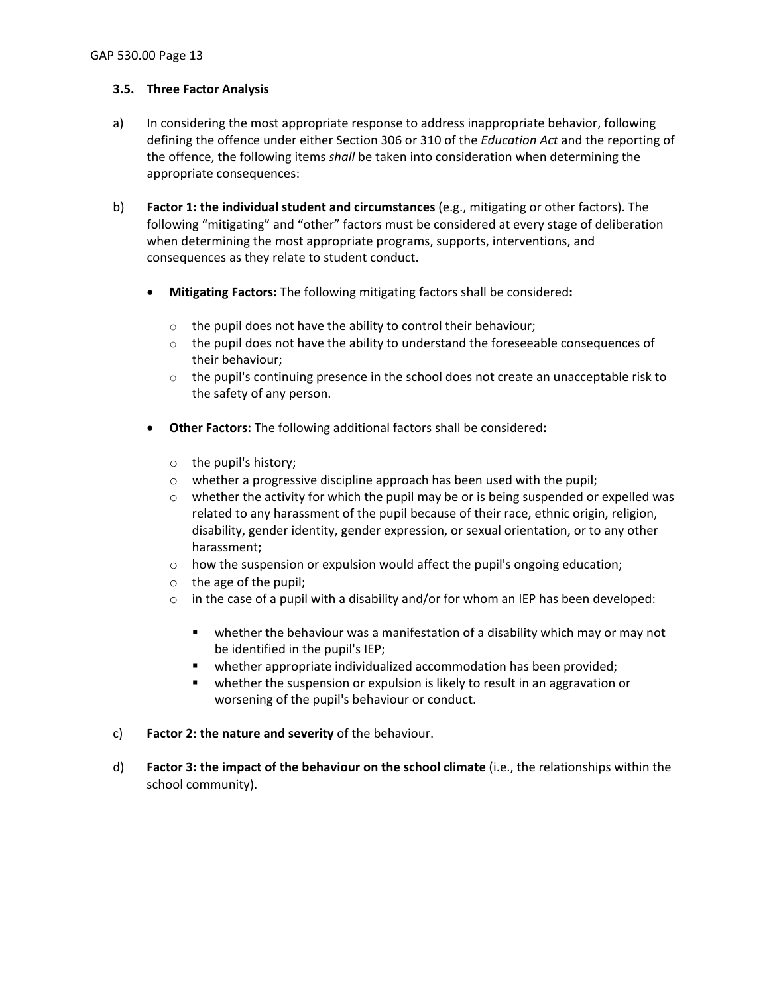#### <span id="page-12-0"></span>**3.5. Three Factor Analysis**

- a) In considering the most appropriate response to address inappropriate behavior, following defining the offence under either Section 306 or 310 of the *Education Act* and the reporting of the offence, the following items *shall* be taken into consideration when determining the appropriate consequences:
- b) **Factor 1: the individual student and circumstances** (e.g., mitigating or other factors). The following "mitigating" and "other" factors must be considered at every stage of deliberation when determining the most appropriate programs, supports, interventions, and consequences as they relate to student conduct.
	- **Mitigating Factors:** The following mitigating factors shall be considered**:**
		- $\circ$  the pupil does not have the ability to control their behaviour;
		- $\circ$  the pupil does not have the ability to understand the foreseeable consequences of their behaviour;
		- $\circ$  the pupil's continuing presence in the school does not create an unacceptable risk to the safety of any person.
	- **Other Factors:** The following additional factors shall be considered**:**
		- o the pupil's history;
		- $\circ$  whether a progressive discipline approach has been used with the pupil;
		- $\circ$  whether the activity for which the pupil may be or is being suspended or expelled was related to any harassment of the pupil because of their race, ethnic origin, religion, disability, gender identity, gender expression, or sexual orientation, or to any other harassment;
		- o how the suspension or expulsion would affect the pupil's ongoing education;
		- $\circ$  the age of the pupil;
		- $\circ$  in the case of a pupil with a disability and/or for whom an IEP has been developed:
			- whether the behaviour was a manifestation of a disability which may or may not be identified in the pupil's IEP;
			- **•** whether appropriate individualized accommodation has been provided;
			- whether the suspension or expulsion is likely to result in an aggravation or worsening of the pupil's behaviour or conduct.
- c) **Factor 2: the nature and severity** of the behaviour.
- d) **Factor 3: the impact of the behaviour on the school climate** (i.e., the relationships within the school community).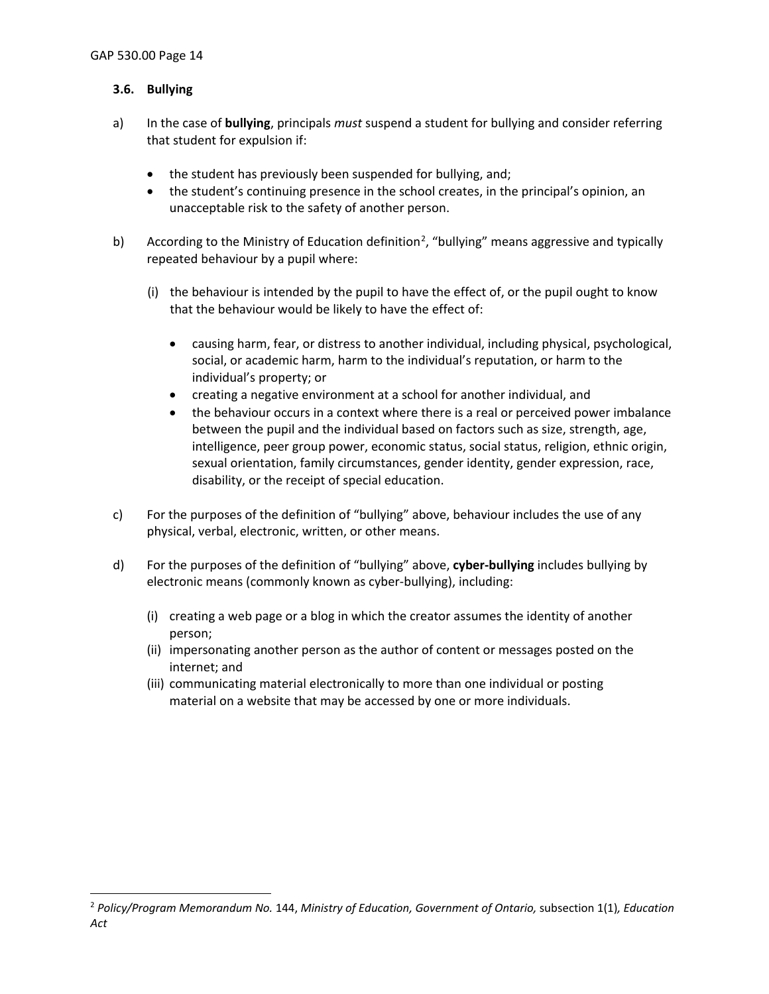#### <span id="page-13-0"></span>**3.6. Bullying**

- a) In the case of **bullying**, principals *must* suspend a student for bullying and consider referring that student for expulsion if:
	- the student has previously been suspended for bullying, and;
	- the student's continuing presence in the school creates, in the principal's opinion, an unacceptable risk to the safety of another person.
- b) According to the Ministry of Education definition<sup>[2](#page-13-1)</sup>, "bullying" means aggressive and typically repeated behaviour by a pupil where:
	- (i) the behaviour is intended by the pupil to have the effect of, or the pupil ought to know that the behaviour would be likely to have the effect of:
		- causing harm, fear, or distress to another individual, including physical, psychological, social, or academic harm, harm to the individual's reputation, or harm to the individual's property; or
		- creating a negative environment at a school for another individual, and
		- the behaviour occurs in a context where there is a real or perceived power imbalance between the pupil and the individual based on factors such as size, strength, age, intelligence, peer group power, economic status, social status, religion, ethnic origin, sexual orientation, family circumstances, gender identity, gender expression, race, disability, or the receipt of special education.
- c) For the purposes of the definition of "bullying" above, behaviour includes the use of any physical, verbal, electronic, written, or other means.
- d) For the purposes of the definition of "bullying" above, **cyber-bullying** includes bullying by electronic means (commonly known as cyber-bullying), including:
	- (i) creating a web page or a blog in which the creator assumes the identity of another person;
	- (ii) impersonating another person as the author of content or messages posted on the internet; and
	- (iii) communicating material electronically to more than one individual or posting material on a website that may be accessed by one or more individuals.

<span id="page-13-1"></span><sup>2</sup> *Policy/Program Memorandum No.* 144, *Ministry of Education, Government of Ontario,* subsection 1(1)*, Education Act*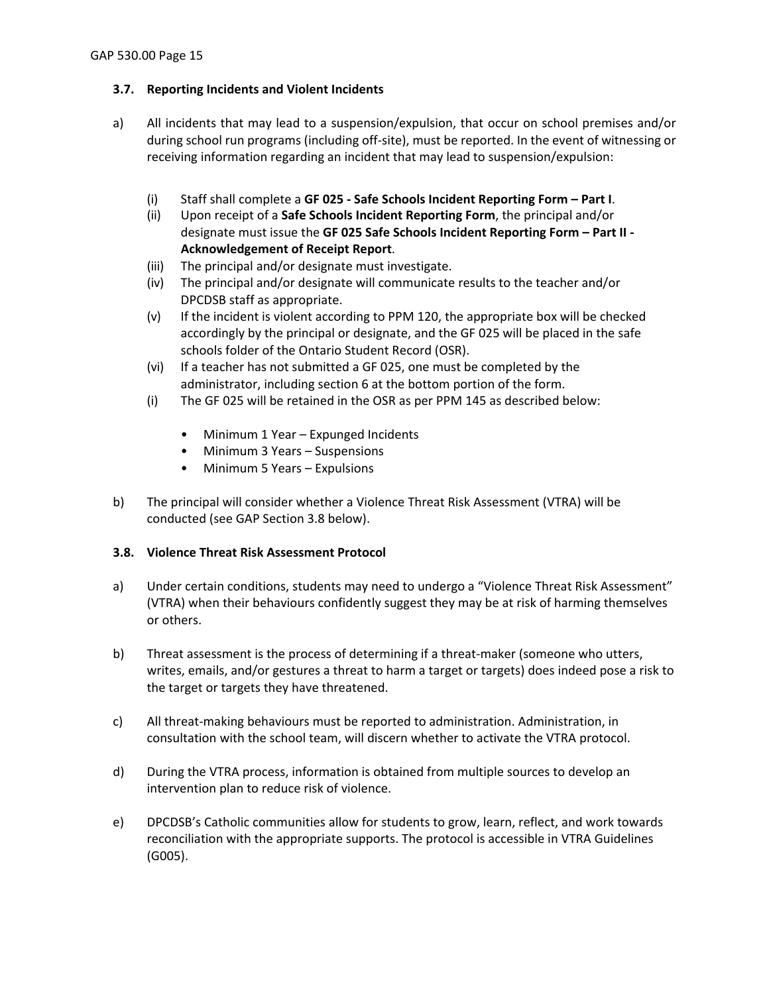## <span id="page-14-0"></span>**3.7. Reporting Incidents and Violent Incidents**

- a) All incidents that may lead to a suspension/expulsion, that occur on school premises and/or during school run programs (including off-site), must be reported. In the event of witnessing or receiving information regarding an incident that may lead to suspension/expulsion:
	- (i) Staff shall complete a **GF 025 - Safe Schools Incident Reporting Form – Part I**.
	- (ii) Upon receipt of a **Safe Schools Incident Reporting Form**, the principal and/or designate must issue the **GF 025 Safe Schools Incident Reporting Form – Part II - Acknowledgement of Receipt Report**.
	- (iii) The principal and/or designate must investigate.
	- (iv) The principal and/or designate will communicate results to the teacher and/or DPCDSB staff as appropriate.
	- (v) If the incident is violent according to PPM 120, the appropriate box will be checked accordingly by the principal or designate, and the GF 025 will be placed in the safe schools folder of the Ontario Student Record (OSR).
	- (vi) If a teacher has not submitted a GF 025, one must be completed by the administrator, including section 6 at the bottom portion of the form.
	- (i) The GF 025 will be retained in the OSR as per PPM 145 as described below:
		- Minimum 1 Year Expunged Incidents
		- Minimum 3 Years Suspensions
		- Minimum 5 Years Expulsions
- b) The principal will consider whether a Violence Threat Risk Assessment (VTRA) will be conducted (see GAP Section 3.8 below).

### <span id="page-14-1"></span>**3.8. Violence Threat Risk Assessment Protocol**

- a) Under certain conditions, students may need to undergo a "Violence Threat Risk Assessment" (VTRA) when their behaviours confidently suggest they may be at risk of harming themselves or others.
- b) Threat assessment is the process of determining if a threat-maker (someone who utters, writes, emails, and/or gestures a threat to harm a target or targets) does indeed pose a risk to the target or targets they have threatened.
- c) All threat-making behaviours must be reported to administration. Administration, in consultation with the school team, will discern whether to activate the VTRA protocol.
- d) During the VTRA process, information is obtained from multiple sources to develop an intervention plan to reduce risk of violence.
- e) DPCDSB's Catholic communities allow for students to grow, learn, reflect, and work towards reconciliation with the appropriate supports. The protocol is accessible in VTRA Guidelines (G005).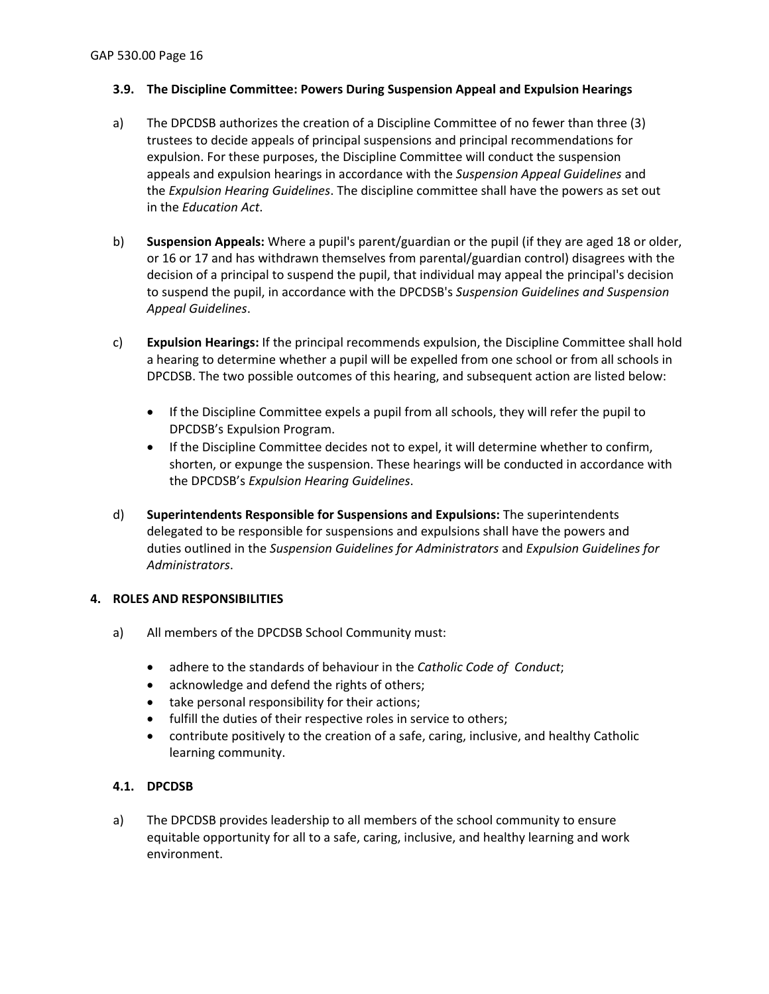## <span id="page-15-0"></span>**3.9. The Discipline Committee: Powers During Suspension Appeal and Expulsion Hearings**

- a) The DPCDSB authorizes the creation of a Discipline Committee of no fewer than three (3) trustees to decide appeals of principal suspensions and principal recommendations for expulsion. For these purposes, the Discipline Committee will conduct the suspension appeals and expulsion hearings in accordance with the *Suspension Appeal Guidelines* and the *Expulsion Hearing Guidelines*. The discipline committee shall have the powers as set out in the *Education Act*.
- b) **Suspension Appeals:** Where a pupil's parent/guardian or the pupil (if they are aged 18 or older, or 16 or 17 and has withdrawn themselves from parental/guardian control) disagrees with the decision of a principal to suspend the pupil, that individual may appeal the principal's decision to suspend the pupil, in accordance with the DPCDSB's *Suspension Guidelines and Suspension Appeal Guidelines*.
- c) **Expulsion Hearings:** If the principal recommends expulsion, the Discipline Committee shall hold a hearing to determine whether a pupil will be expelled from one school or from all schools in DPCDSB. The two possible outcomes of this hearing, and subsequent action are listed below:
	- If the Discipline Committee expels a pupil from all schools, they will refer the pupil to DPCDSB's Expulsion Program.
	- If the Discipline Committee decides not to expel, it will determine whether to confirm, shorten, or expunge the suspension. These hearings will be conducted in accordance with the DPCDSB's *Expulsion Hearing Guidelines*.
- d) **Superintendents Responsible for Suspensions and Expulsions:** The superintendents delegated to be responsible for suspensions and expulsions shall have the powers and duties outlined in the *Suspension Guidelines for Administrators* and *Expulsion Guidelines for Administrators*.

### <span id="page-15-1"></span>**4. ROLES AND RESPONSIBILITIES**

- a) All members of the DPCDSB School Community must:
	- adhere to the standards of behaviour in the *Catholic Code of Conduct*;
	- acknowledge and defend the rights of others;
	- take personal responsibility for their actions;
	- fulfill the duties of their respective roles in service to others;
	- contribute positively to the creation of a safe, caring, inclusive, and healthy Catholic learning community.

### <span id="page-15-2"></span>**4.1. DPCDSB**

a) The DPCDSB provides leadership to all members of the school community to ensure equitable opportunity for all to a safe, caring, inclusive, and healthy learning and work environment.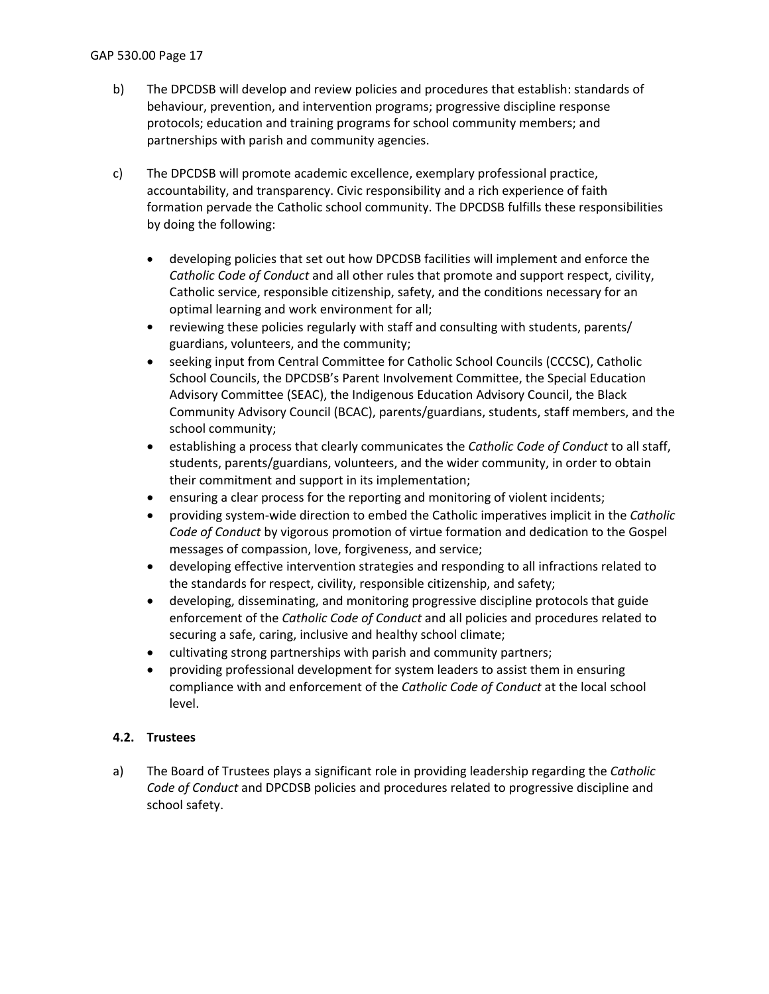- b) The DPCDSB will develop and review policies and procedures that establish: standards of behaviour, prevention, and intervention programs; progressive discipline response protocols; education and training programs for school community members; and partnerships with parish and community agencies.
- c) The DPCDSB will promote academic excellence, exemplary professional practice, accountability, and transparency. Civic responsibility and a rich experience of faith formation pervade the Catholic school community. The DPCDSB fulfills these responsibilities by doing the following:
	- developing policies that set out how DPCDSB facilities will implement and enforce the *Catholic Code of Conduct* and all other rules that promote and support respect, civility, Catholic service, responsible citizenship, safety, and the conditions necessary for an optimal learning and work environment for all;
	- reviewing these policies regularly with staff and consulting with students, parents/ guardians, volunteers, and the community;
	- seeking input from Central Committee for Catholic School Councils (CCCSC), Catholic School Councils, the DPCDSB's Parent Involvement Committee, the Special Education Advisory Committee (SEAC), the Indigenous Education Advisory Council, the Black Community Advisory Council (BCAC), parents/guardians, students, staff members, and the school community;
	- establishing a process that clearly communicates the *Catholic Code of Conduct* to all staff, students, parents/guardians, volunteers, and the wider community, in order to obtain their commitment and support in its implementation;
	- ensuring a clear process for the reporting and monitoring of violent incidents;
	- providing system-wide direction to embed the Catholic imperatives implicit in the *Catholic Code of Conduct* by vigorous promotion of virtue formation and dedication to the Gospel messages of compassion, love, forgiveness, and service;
	- developing effective intervention strategies and responding to all infractions related to the standards for respect, civility, responsible citizenship, and safety;
	- developing, disseminating, and monitoring progressive discipline protocols that guide enforcement of the *Catholic Code of Conduct* and all policies and procedures related to securing a safe, caring, inclusive and healthy school climate;
	- cultivating strong partnerships with parish and community partners;
	- providing professional development for system leaders to assist them in ensuring compliance with and enforcement of the *Catholic Code of Conduct* at the local school level.

## <span id="page-16-0"></span>**4.2. Trustees**

a) The Board of Trustees plays a significant role in providing leadership regarding the *Catholic Code of Conduct* and DPCDSB policies and procedures related to progressive discipline and school safety.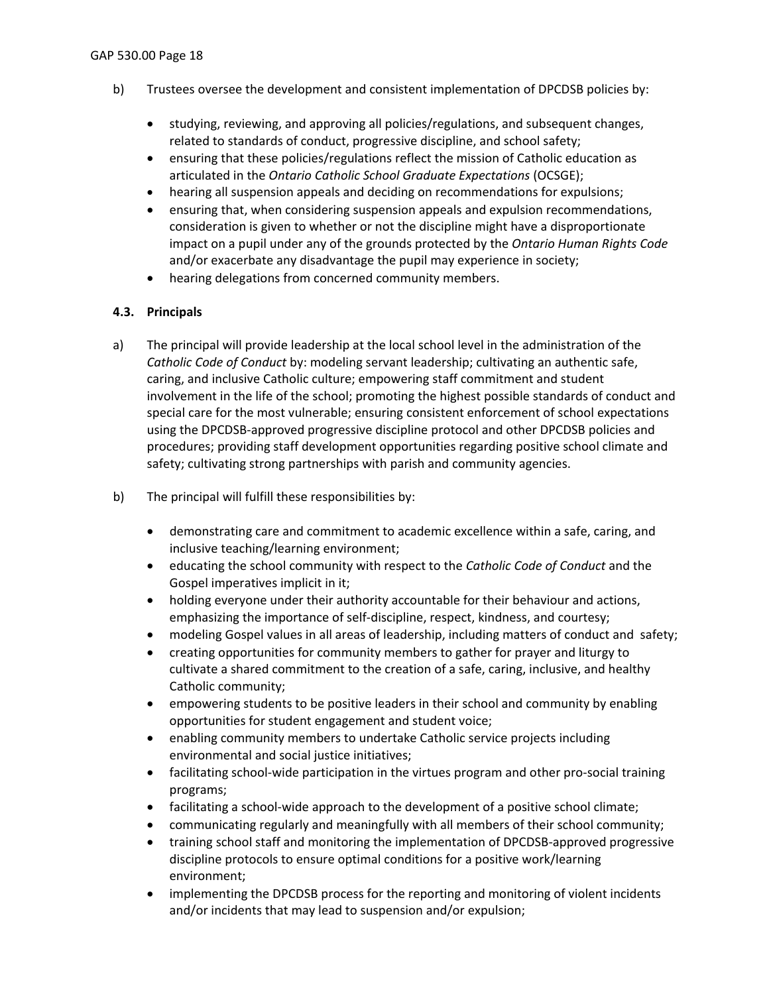- b) Trustees oversee the development and consistent implementation of DPCDSB policies by:
	- studying, reviewing, and approving all policies/regulations, and subsequent changes, related to standards of conduct, progressive discipline, and school safety;
	- ensuring that these policies/regulations reflect the mission of Catholic education as articulated in the *Ontario Catholic School Graduate Expectations* (OCSGE);
	- hearing all suspension appeals and deciding on recommendations for expulsions;
	- ensuring that, when considering suspension appeals and expulsion recommendations, consideration is given to whether or not the discipline might have a disproportionate impact on a pupil under any of the grounds protected by the *Ontario Human Rights Code*  and/or exacerbate any disadvantage the pupil may experience in society;
	- hearing delegations from concerned community members.

## <span id="page-17-0"></span>**4.3. Principals**

- a) The principal will provide leadership at the local school level in the administration of the *Catholic Code of Conduct* by: modeling servant leadership; cultivating an authentic safe, caring, and inclusive Catholic culture; empowering staff commitment and student involvement in the life of the school; promoting the highest possible standards of conduct and special care for the most vulnerable; ensuring consistent enforcement of school expectations using the DPCDSB-approved progressive discipline protocol and other DPCDSB policies and procedures; providing staff development opportunities regarding positive school climate and safety; cultivating strong partnerships with parish and community agencies.
- b) The principal will fulfill these responsibilities by:
	- demonstrating care and commitment to academic excellence within a safe, caring, and inclusive teaching/learning environment;
	- educating the school community with respect to the *Catholic Code of Conduct* and the Gospel imperatives implicit in it;
	- holding everyone under their authority accountable for their behaviour and actions, emphasizing the importance of self-discipline, respect, kindness, and courtesy;
	- modeling Gospel values in all areas of leadership, including matters of conduct and safety;
	- creating opportunities for community members to gather for prayer and liturgy to cultivate a shared commitment to the creation of a safe, caring, inclusive, and healthy Catholic community;
	- empowering students to be positive leaders in their school and community by enabling opportunities for student engagement and student voice;
	- enabling community members to undertake Catholic service projects including environmental and social justice initiatives;
	- facilitating school-wide participation in the virtues program and other pro-social training programs;
	- facilitating a school-wide approach to the development of a positive school climate;
	- communicating regularly and meaningfully with all members of their school community;
	- training school staff and monitoring the implementation of DPCDSB-approved progressive discipline protocols to ensure optimal conditions for a positive work/learning environment;
	- implementing the DPCDSB process for the reporting and monitoring of violent incidents and/or incidents that may lead to suspension and/or expulsion;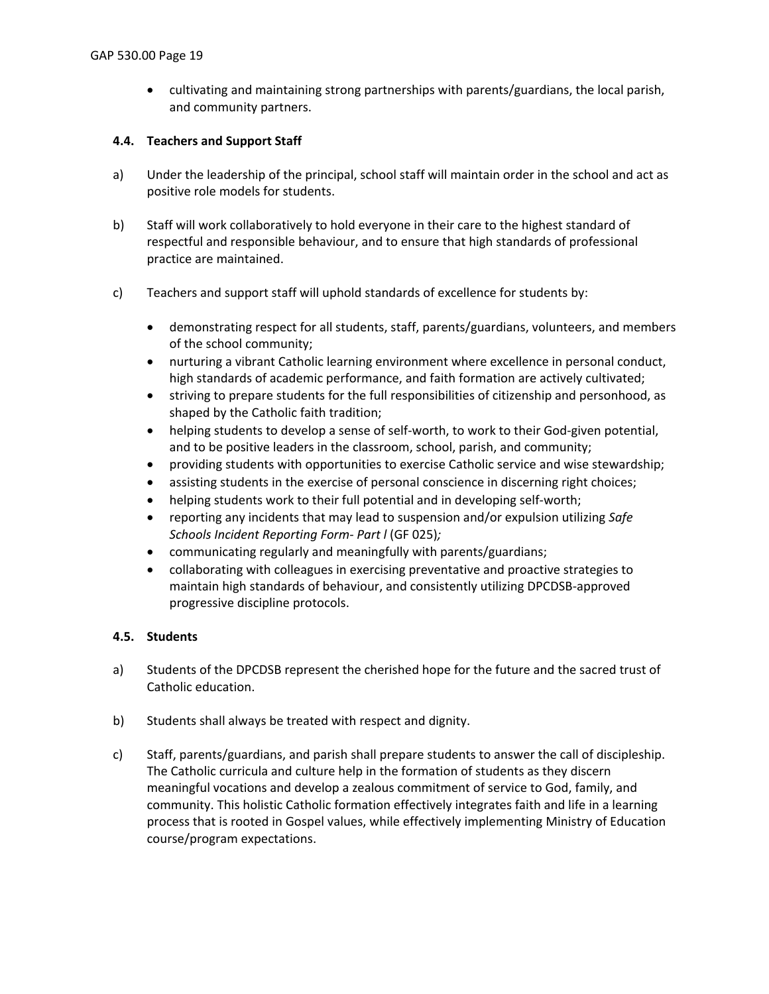• cultivating and maintaining strong partnerships with parents/guardians, the local parish, and community partners.

## <span id="page-18-0"></span>**4.4. Teachers and Support Staff**

- a) Under the leadership of the principal, school staff will maintain order in the school and act as positive role models for students.
- b) Staff will work collaboratively to hold everyone in their care to the highest standard of respectful and responsible behaviour, and to ensure that high standards of professional practice are maintained.
- c) Teachers and support staff will uphold standards of excellence for students by:
	- demonstrating respect for all students, staff, parents/guardians, volunteers, and members of the school community;
	- nurturing a vibrant Catholic learning environment where excellence in personal conduct, high standards of academic performance, and faith formation are actively cultivated;
	- striving to prepare students for the full responsibilities of citizenship and personhood, as shaped by the Catholic faith tradition;
	- helping students to develop a sense of self-worth, to work to their God-given potential, and to be positive leaders in the classroom, school, parish, and community;
	- providing students with opportunities to exercise Catholic service and wise stewardship;
	- assisting students in the exercise of personal conscience in discerning right choices;
	- helping students work to their full potential and in developing self-worth;
	- reporting any incidents that may lead to suspension and/or expulsion utilizing *Safe Schools Incident Reporting Form- Part l* (GF 025)*;*
	- communicating regularly and meaningfully with parents/guardians;
	- collaborating with colleagues in exercising preventative and proactive strategies to maintain high standards of behaviour, and consistently utilizing DPCDSB-approved progressive discipline protocols.

### <span id="page-18-1"></span>**4.5. Students**

- a) Students of the DPCDSB represent the cherished hope for the future and the sacred trust of Catholic education.
- b) Students shall always be treated with respect and dignity.
- c) Staff, parents/guardians, and parish shall prepare students to answer the call of discipleship. The Catholic curricula and culture help in the formation of students as they discern meaningful vocations and develop a zealous commitment of service to God, family, and community. This holistic Catholic formation effectively integrates faith and life in a learning process that is rooted in Gospel values, while effectively implementing Ministry of Education course/program expectations.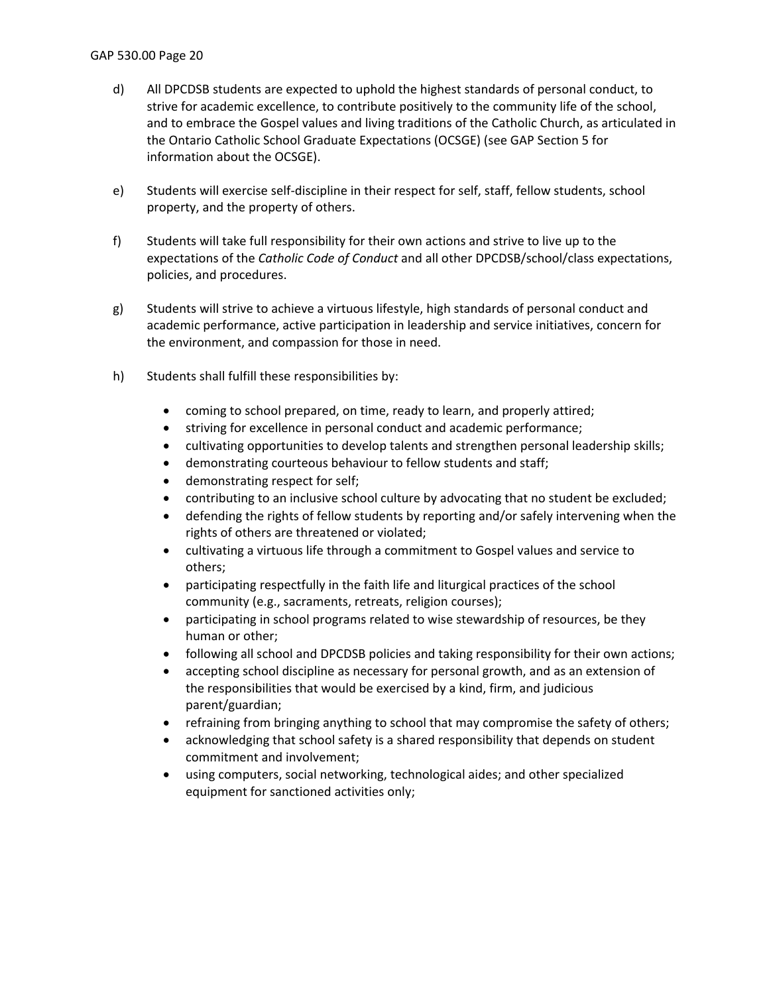#### GAP 530.00 Page 20

- d) All DPCDSB students are expected to uphold the highest standards of personal conduct, to strive for academic excellence, to contribute positively to the community life of the school, and to embrace the Gospel values and living traditions of the Catholic Church, as articulated in the Ontario Catholic School Graduate Expectations (OCSGE) (see GAP Section 5 for information about the OCSGE).
- e) Students will exercise self-discipline in their respect for self, staff, fellow students, school property, and the property of others.
- f) Students will take full responsibility for their own actions and strive to live up to the expectations of the *Catholic Code of Conduct* and all other DPCDSB/school/class expectations, policies, and procedures.
- g) Students will strive to achieve a virtuous lifestyle, high standards of personal conduct and academic performance, active participation in leadership and service initiatives, concern for the environment, and compassion for those in need.
- h) Students shall fulfill these responsibilities by:
	- coming to school prepared, on time, ready to learn, and properly attired;
	- striving for excellence in personal conduct and academic performance;
	- cultivating opportunities to develop talents and strengthen personal leadership skills;
	- demonstrating courteous behaviour to fellow students and staff;
	- demonstrating respect for self;
	- contributing to an inclusive school culture by advocating that no student be excluded;
	- defending the rights of fellow students by reporting and/or safely intervening when the rights of others are threatened or violated;
	- cultivating a virtuous life through a commitment to Gospel values and service to others;
	- participating respectfully in the faith life and liturgical practices of the school community (e.g., sacraments, retreats, religion courses);
	- participating in school programs related to wise stewardship of resources, be they human or other;
	- following all school and DPCDSB policies and taking responsibility for their own actions;
	- accepting school discipline as necessary for personal growth, and as an extension of the responsibilities that would be exercised by a kind, firm, and judicious parent/guardian;
	- refraining from bringing anything to school that may compromise the safety of others;
	- acknowledging that school safety is a shared responsibility that depends on student commitment and involvement;
	- using computers, social networking, technological aides; and other specialized equipment for sanctioned activities only;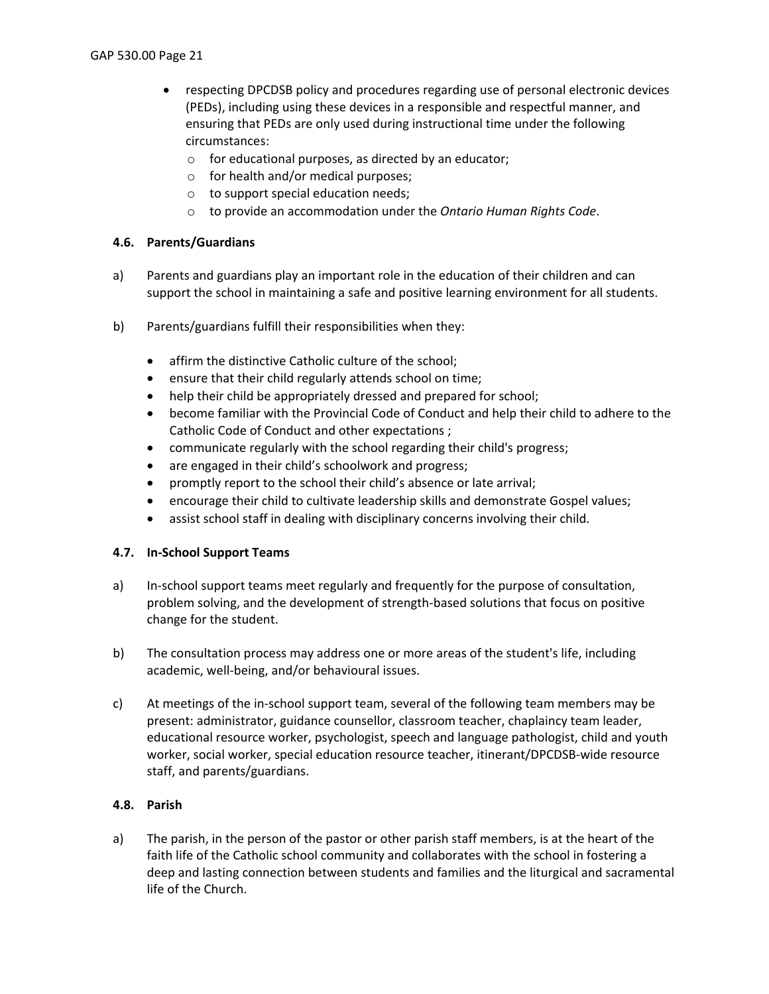- respecting DPCDSB policy and procedures regarding use of personal electronic devices (PEDs), including using these devices in a responsible and respectful manner, and ensuring that PEDs are only used during instructional time under the following circumstances:
	- o for educational purposes, as directed by an educator;
	- o for health and/or medical purposes;
	- o to support special education needs;
	- o to provide an accommodation under the *Ontario Human Rights Code*.

## <span id="page-20-0"></span>**4.6. Parents/Guardians**

- a) Parents and guardians play an important role in the education of their children and can support the school in maintaining a safe and positive learning environment for all students.
- b) Parents/guardians fulfill their responsibilities when they:
	- affirm the distinctive Catholic culture of the school;
	- ensure that their child regularly attends school on time;
	- help their child be appropriately dressed and prepared for school;
	- become familiar with the Provincial Code of Conduct and help their child to adhere to the Catholic Code of Conduct and other expectations ;
	- communicate regularly with the school regarding their child's progress;
	- are engaged in their child's schoolwork and progress;
	- promptly report to the school their child's absence or late arrival;
	- encourage their child to cultivate leadership skills and demonstrate Gospel values;
	- assist school staff in dealing with disciplinary concerns involving their child.

### <span id="page-20-1"></span>**4.7. In-School Support Teams**

- a) In-school support teams meet regularly and frequently for the purpose of consultation, problem solving, and the development of strength-based solutions that focus on positive change for the student.
- b) The consultation process may address one or more areas of the student's life, including academic, well-being, and/or behavioural issues.
- c) At meetings of the in-school support team, several of the following team members may be present: administrator, guidance counsellor, classroom teacher, chaplaincy team leader, educational resource worker, psychologist, speech and language pathologist, child and youth worker, social worker, special education resource teacher, itinerant/DPCDSB-wide resource staff, and parents/guardians.

### <span id="page-20-2"></span>**4.8. Parish**

a) The parish, in the person of the pastor or other parish staff members, is at the heart of the faith life of the Catholic school community and collaborates with the school in fostering a deep and lasting connection between students and families and the liturgical and sacramental life of the Church.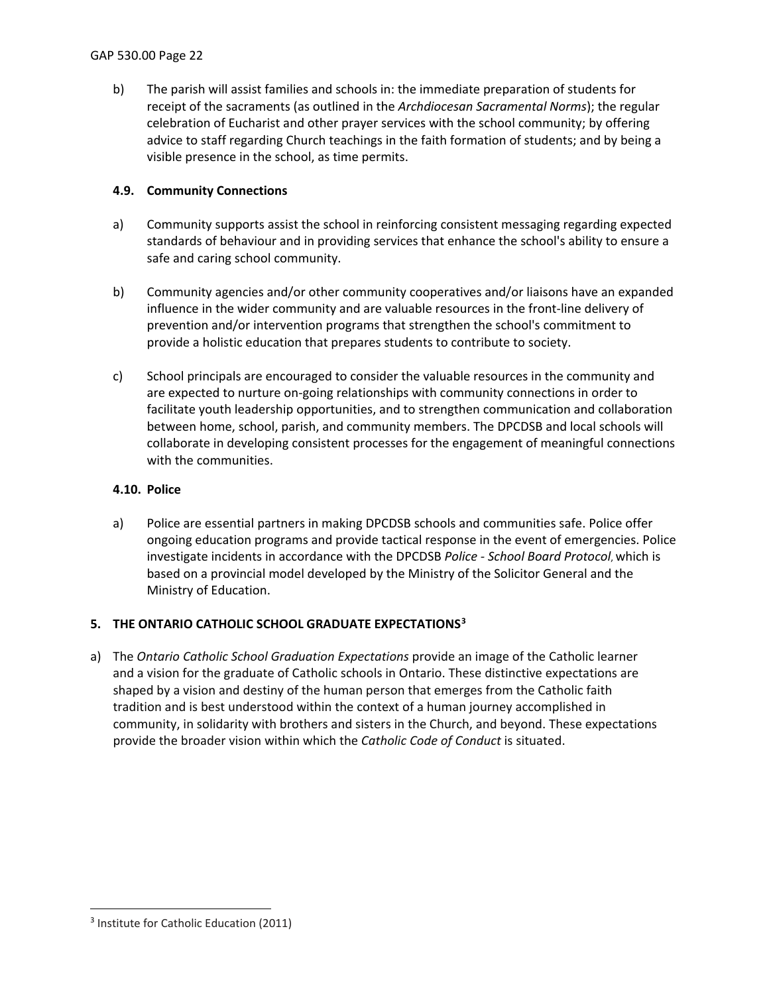b) The parish will assist families and schools in: the immediate preparation of students for receipt of the sacraments (as outlined in the *Archdiocesan Sacramental Norms*); the regular celebration of Eucharist and other prayer services with the school community; by offering advice to staff regarding Church teachings in the faith formation of students; and by being a visible presence in the school, as time permits.

## <span id="page-21-0"></span>**4.9. Community Connections**

- a) Community supports assist the school in reinforcing consistent messaging regarding expected standards of behaviour and in providing services that enhance the school's ability to ensure a safe and caring school community.
- b) Community agencies and/or other community cooperatives and/or liaisons have an expanded influence in the wider community and are valuable resources in the front-line delivery of prevention and/or intervention programs that strengthen the school's commitment to provide a holistic education that prepares students to contribute to society.
- c) School principals are encouraged to consider the valuable resources in the community and are expected to nurture on-going relationships with community connections in order to facilitate youth leadership opportunities, and to strengthen communication and collaboration between home, school, parish, and community members. The DPCDSB and local schools will collaborate in developing consistent processes for the engagement of meaningful connections with the communities.

## <span id="page-21-1"></span>**4.10. Police**

a) Police are essential partners in making DPCDSB schools and communities safe. Police offer ongoing education programs and provide tactical response in the event of emergencies. Police investigate incidents in accordance with the DPCDSB *Police - School Board Protocol*, which is based on a provincial model developed by the Ministry of the Solicitor General and the Ministry of Education.

## <span id="page-21-2"></span>**5. THE ONTARIO CATHOLIC SCHOOL GRADUATE EXPECTATIONS[3](#page-21-3)**

a) The *Ontario Catholic School Graduation Expectations* provide an image of the Catholic learner and a vision for the graduate of Catholic schools in Ontario. These distinctive expectations are shaped by a vision and destiny of the human person that emerges from the Catholic faith tradition and is best understood within the context of a human journey accomplished in community, in solidarity with brothers and sisters in the Church, and beyond. These expectations provide the broader vision within which the *Catholic Code of Conduct* is situated.

<span id="page-21-3"></span><sup>&</sup>lt;sup>3</sup> Institute for Catholic Education (2011)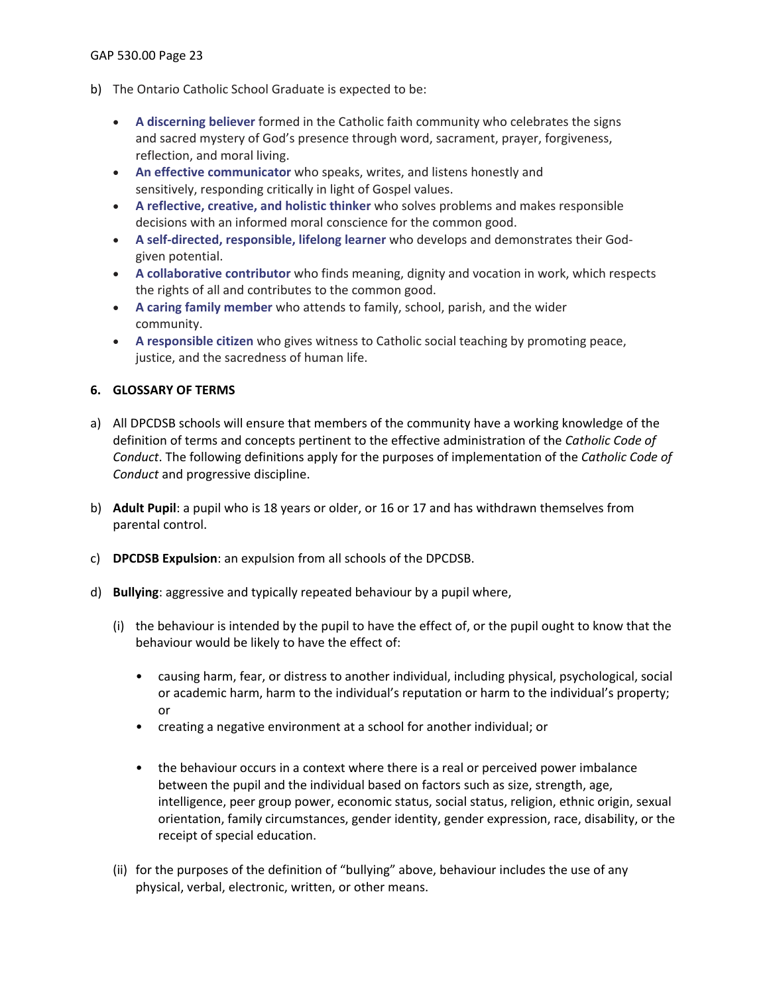GAP 530.00 Page 23

- b) The Ontario Catholic School Graduate is expected to be:
	- **A discerning believer** formed in the Catholic faith community who celebrates the signs and sacred mystery of God's presence through word, sacrament, prayer, forgiveness, reflection, and moral living.
	- **An effective communicator** who speaks, writes, and listens honestly and sensitively, responding critically in light of Gospel values.
	- **A reflective, creative, and holistic thinker** who solves problems and makes responsible decisions with an informed moral conscience for the common good.
	- **A self-directed, responsible, lifelong learner** who develops and demonstrates their Godgiven potential.
	- **A collaborative contributor** who finds meaning, dignity and vocation in work, which respects the rights of all and contributes to the common good.
	- **A caring family member** who attends to family, school, parish, and the wider community.
	- **A responsible citizen** who gives witness to Catholic social teaching by promoting peace, justice, and the sacredness of human life.

## <span id="page-22-0"></span>**6. GLOSSARY OF TERMS**

- a) All DPCDSB schools will ensure that members of the community have a working knowledge of the definition of terms and concepts pertinent to the effective administration of the *Catholic Code of Conduct*. The following definitions apply for the purposes of implementation of the *Catholic Code of Conduct* and progressive discipline.
- b) **Adult Pupil**: a pupil who is 18 years or older, or 16 or 17 and has withdrawn themselves from parental control.
- c) **DPCDSB Expulsion**: an expulsion from all schools of the DPCDSB.
- d) **Bullying**: aggressive and typically repeated behaviour by a pupil where,
	- (i) the behaviour is intended by the pupil to have the effect of, or the pupil ought to know that the behaviour would be likely to have the effect of:
		- causing harm, fear, or distress to another individual, including physical, psychological, social or academic harm, harm to the individual's reputation or harm to the individual's property; or
		- creating a negative environment at a school for another individual; or
		- the behaviour occurs in a context where there is a real or perceived power imbalance between the pupil and the individual based on factors such as size, strength, age, intelligence, peer group power, economic status, social status, religion, ethnic origin, sexual orientation, family circumstances, gender identity, gender expression, race, disability, or the receipt of special education.
	- (ii) for the purposes of the definition of "bullying" above, behaviour includes the use of any physical, verbal, electronic, written, or other means.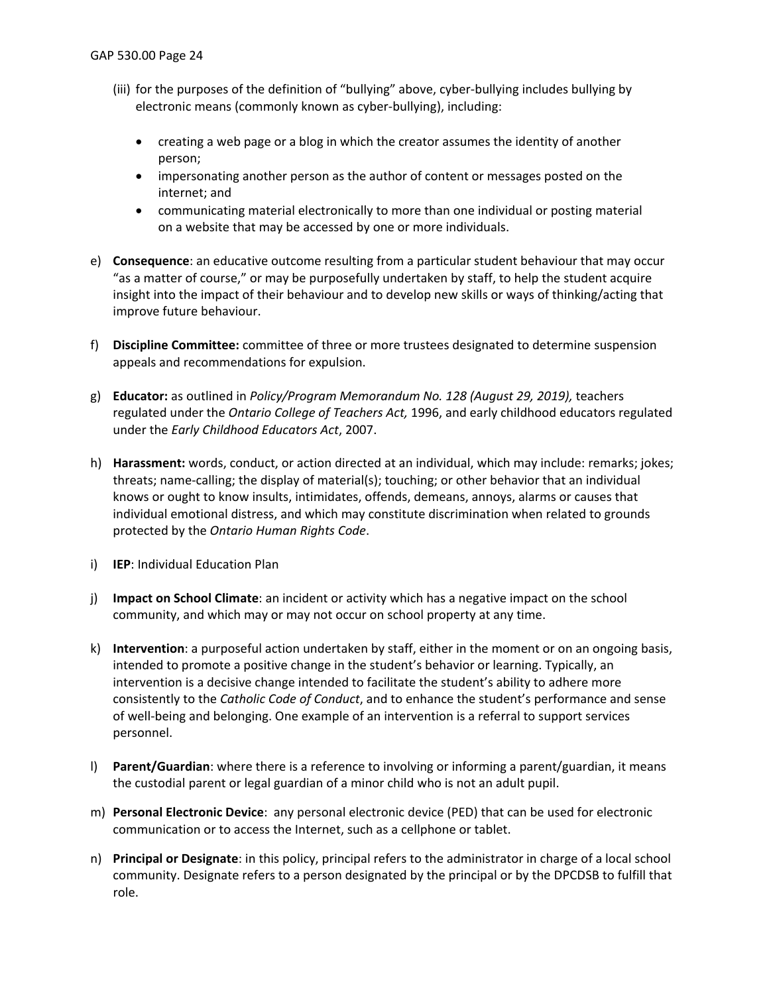- (iii) for the purposes of the definition of "bullying" above, cyber-bullying includes bullying by electronic means (commonly known as cyber-bullying), including:
	- creating a web page or a blog in which the creator assumes the identity of another person;
	- impersonating another person as the author of content or messages posted on the internet; and
	- communicating material electronically to more than one individual or posting material on a website that may be accessed by one or more individuals.
- e) **Consequence**: an educative outcome resulting from a particular student behaviour that may occur "as a matter of course," or may be purposefully undertaken by staff, to help the student acquire insight into the impact of their behaviour and to develop new skills or ways of thinking/acting that improve future behaviour.
- f) **Discipline Committee:** committee of three or more trustees designated to determine suspension appeals and recommendations for expulsion.
- g) **Educator:** as outlined in *Policy/Program Memorandum No. 128 (August 29, 2019),* teachers regulated under the *Ontario College of Teachers Act,* 1996, and early childhood educators regulated under the *Early Childhood Educators Act*, 2007.
- h) **Harassment:** words, conduct, or action directed at an individual, which may include: remarks; jokes; threats; name-calling; the display of material(s); touching; or other behavior that an individual knows or ought to know insults, intimidates, offends, demeans, annoys, alarms or causes that individual emotional distress, and which may constitute discrimination when related to grounds protected by the *Ontario Human Rights Code*.
- i) **IEP**: Individual Education Plan
- j) **Impact on School Climate**: an incident or activity which has a negative impact on the school community, and which may or may not occur on school property at any time.
- k) **Intervention**: a purposeful action undertaken by staff, either in the moment or on an ongoing basis, intended to promote a positive change in the student's behavior or learning. Typically, an intervention is a decisive change intended to facilitate the student's ability to adhere more consistently to the *Catholic Code of Conduct*, and to enhance the student's performance and sense of well-being and belonging. One example of an intervention is a referral to support services personnel.
- l) **Parent/Guardian**: where there is a reference to involving or informing a parent/guardian, it means the custodial parent or legal guardian of a minor child who is not an adult pupil.
- m) **Personal Electronic Device**: any personal electronic device (PED) that can be used for electronic communication or to access the Internet, such as a cellphone or tablet.
- n) **Principal or Designate**: in this policy, principal refers to the administrator in charge of a local school community. Designate refers to a person designated by the principal or by the DPCDSB to fulfill that role.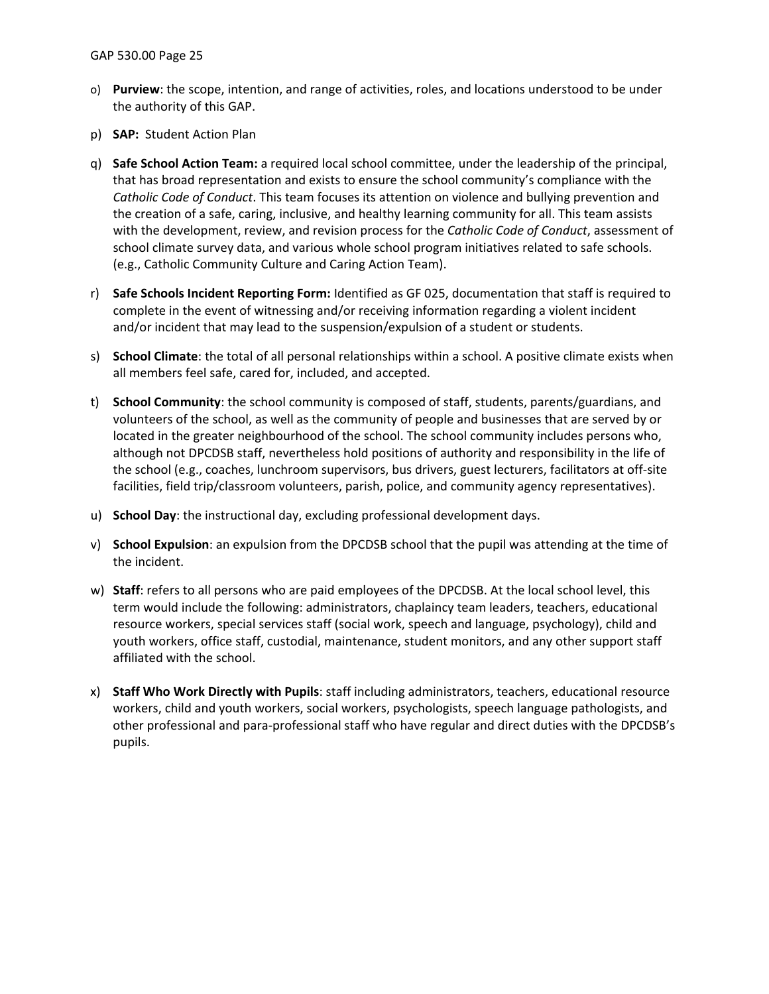- o) **Purview**: the scope, intention, and range of activities, roles, and locations understood to be under the authority of this GAP.
- p) **SAP:** Student Action Plan
- q) **Safe School Action Team:** a required local school committee, under the leadership of the principal, that has broad representation and exists to ensure the school community's compliance with the *Catholic Code of Conduct*. This team focuses its attention on violence and bullying prevention and the creation of a safe, caring, inclusive, and healthy learning community for all. This team assists with the development, review, and revision process for the *Catholic Code of Conduct*, assessment of school climate survey data, and various whole school program initiatives related to safe schools. (e.g., Catholic Community Culture and Caring Action Team).
- r) **Safe Schools Incident Reporting Form:** Identified as GF 025, documentation that staff is required to complete in the event of witnessing and/or receiving information regarding a violent incident and/or incident that may lead to the suspension/expulsion of a student or students.
- s) **School Climate**: the total of all personal relationships within a school. A positive climate exists when all members feel safe, cared for, included, and accepted.
- t) **School Community**: the school community is composed of staff, students, parents/guardians, and volunteers of the school, as well as the community of people and businesses that are served by or located in the greater neighbourhood of the school. The school community includes persons who, although not DPCDSB staff, nevertheless hold positions of authority and responsibility in the life of the school (e.g., coaches, lunchroom supervisors, bus drivers, guest lecturers, facilitators at off-site facilities, field trip/classroom volunteers, parish, police, and community agency representatives).
- u) **School Day**: the instructional day, excluding professional development days.
- v) **School Expulsion**: an expulsion from the DPCDSB school that the pupil was attending at the time of the incident.
- w) **Staff**: refers to all persons who are paid employees of the DPCDSB. At the local school level, this term would include the following: administrators, chaplaincy team leaders, teachers, educational resource workers, special services staff (social work, speech and language, psychology), child and youth workers, office staff, custodial, maintenance, student monitors, and any other support staff affiliated with the school.
- x) **Staff Who Work Directly with Pupils**: staff including administrators, teachers, educational resource workers, child and youth workers, social workers, psychologists, speech language pathologists, and other professional and para-professional staff who have regular and direct duties with the DPCDSB's pupils.